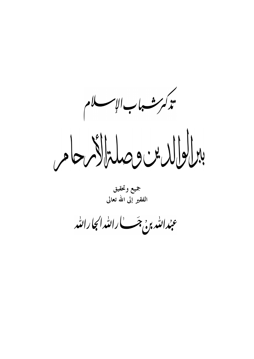تذكر سنسهاب الإسسلام برالوالدس وصلةالأبرحامر

جميع وتحقيق الفقير إلى الله تعالى

عبدالله ب<sub>و</sub>، جَب الله الجارالله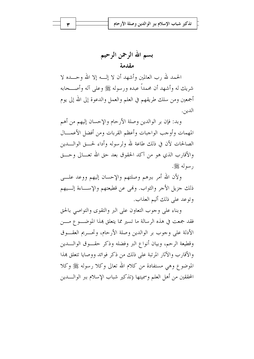بسم الله الرحمن الرحيم مقدمة

الحمد لله , ب العالمين وأشهد أن لا إلــه إلا الله وحـــده لا شريك له وأشهد أن محمداً عبده ورسوله ﷺ وعلى آله وأصـــحابه أجمعين ومن سلك طريقهم في العلم والعمل والدعوة إلى الله إلى يوم الدين.

وبد: فإن بر الوالدين وصلة الأرحام والإحسان إليهم من أهم المهمات وأوجب الواجبات وأعظم القربات ومن أفضل الأعمسال الصالحات لأن في ذلك طاعة لله ولرسوله وأداء لحسق الوالـــدين والأقارب الذي هو من آكد الحقوق بعد حق الله تعـــالي وحـــق , سوله ﷺ.

ولأن الله أمر بيرهم وصلتهم والإحسان إليهم ووعد علي ذلك جزيل الأجر والثواب. وفمي عن قطيعتهم والإســاءة إلـــيهم وتوعد على ذلك أليم العذاب.

وبناء على وجوب التعاون على البر والتقوى والتواصي بالحق فقد جمعت في هذه الرسالة ما تسير مما يتعلق هذا الموضــــوع مــــن الأدلة على وجوب بر الوالدين وصلة الأرحام، وتحب بم العقبوق وقطيعة الرحم، وبيان أنواع البر وفضله وذكر حقسوق الوالسدين والأقارب والآثار المرتبة على ذلك من ذكر فوائد ووصايا تتعلق بمذا الموضوع وهي مستفادة من كلام الله تعالى وكلا رسوله ﷺ وكلا المحققين من أهل العلم وسميتها (تذكير شباب الإسلام ببر الوالــــدين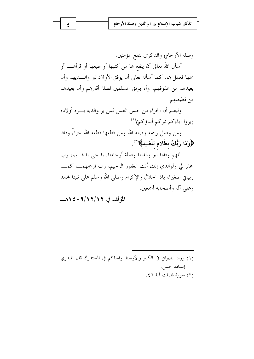وصلة الأرحام) والذكرى تنفع المؤمنين.

أسأل الله تعالى أن ينفع هما من كتبها أو طبعها أو قرأهــــا أو سمها فعمل هما. كما أسأله تعالى أن يوفق الأولاد لبر والــــديهم وأن يعيذهم من عقوقهم، وأ، يوفق المسلمين لصلة أقاربهم وأن يعيذهم من قطيعتهم.

وليعلم أن الجزاء من جنس العمل فمن بر والديه بسره أولاده (بروا آباءكم تبركم أبناؤكم)''.

ومن وصل رحمه وصله الله ومن قطعها قطعه الله جزاءً وفاقا ﴿وَمَا رَبُّكُ بِظَلامٍ لِلْعَبِيدِ﴾ (``.

اللهم وفقنا لبر والدينا وصلة أرحامنا. يا حي يا قــيم، رب اغفر لي ولوالدي إنك أنت الغفور الرحيم، رب ارحمهمـــا كمــــا ربياني صغيرا، ياذا الجلال والإكرام وصلى الله وسلم على نبينا محمد وعلى آله وأصحابه أجمعين.

المؤلف في ٩/١٢/١٢٠ : ١٤٠هـ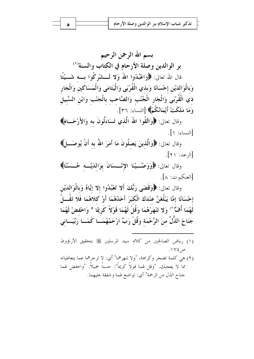بسم الله الرحمن الرحيم بر الوالدين وصلة الأرحام في الكتاب والسنة(`) قال الله تعالى: ﴿وَاعْبُدُوا اللَّهَ وَلا تُـــشْرِكُوا بِـــه شَـــيْتًا وَبالْوَالدَيْنِ إحْسَانًا وَبِذي الْقُرْبَى وَالْيَتَامَى وَالْمَسَاكين وَالْجَارِ ذي الْقُرْبَى وَالْجَارِ الْجُنُبِ وَالصَّاحبِ بِالْجَنْبِ وَابْنِ السَّبِيلِ وَمَا مَلَكَتْ أَيْمَانُكُمْ﴾ [النساء: ٣٦].

وقال تعالى: ﴿وَاتَّقُوا اللَّهُ الَّذي تَسَاءَلُونَ به وَالأَرْحَــامَ﴾ [النساء: ١].

وقال تعالى: ﴿وَالَّذِينَ يَصِلُونَ مَا أَمَرَ اللَّهُ بِهِ أَنْ يُوصَـــلَ﴾  $[12:17]$ .

وقال تعالى: ﴿وَوَصَّــيْنَا الإِنْــسَانَ بِوَاللَّهْــه حُــسْنًا﴾ [العنكبوت: ٨].

وقال تعالى: ﴿وَقَضَى رَبُّكَ أَلا تَعْبُدُوا إِلا إِيَّاهُ وَبِالْوَالِدَيْنِ إحْسَانًا إمَّا يَبْلُغَنَّ عِنْدَكَ الْكِبَرَ أَحَدُهُمَا أَوْ كلاهُمَا فَلا تَقُـــلْ لَهُمَا أُفٍّّ``) وَلا تَنْهَرْهُمَا وَقُلْ لَهُمَا قَوْلاً كَرِيمًا \* وَاخْفضْ لَهُمَا جَنَاحَ الذُّلِّ منَ الرَّحْمَة وَقُلْ رَبِّ ارْحَمْهُمَــا كَمَــا رَبَّيَــانى

- (١) رياض الصالحين من كلام سيد المرسلين ﷺ بتحقيق الأرنؤوط ص٤٧٤.
- (٢) هي كلمة تضجر وكراهة، "ولا تنهرهما" أي: لا تزجرهما عما يتعاطيانه مما لا يعجبك. "وقل لهما قولاً كريماً": حسناً جميلاً. "واخفض لهما جناح الذل من الرحمة" أي: تواضع لهما و شفقة عليهما.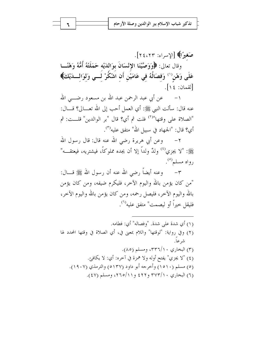صَغيرًا﴾ [الإسراء: ٢٤،٢٣]. وقال تعالى: ﴿وَوَصَّيْنَا الإِنْسَانَ بِوَاللَّهِ حَمَلَتْهُ أُمُّهُ وَهْنًــا عَلَى وَهْنٍ(`) وَفصَالُهُ في عَامَيْنِ أَن اشْكُرْ لَــي وَلوَالـــدَيْكَ﴾ [لقمان: ١٤].

عن أبي عبد الرحمن عبد الله بن مسعود رضــــى الله  $-1$ عنه قال: سألت النبي ﷺ: أي العمل أحب إلى الله تعـــالى؟ قــــال: "الصلاة على وقتها"<sup>(٢)</sup> فلت ثم أي؟ قال "بر الوالدين" قلــت: ثم أي؟ قال: "الجمهاد في سبيل الله" متفق عليه<sup>(٣)</sup>.

٢− وعن أبي هريرة رضي الله عنه قال: قال رسول الله ﷺ: "لا يجزى<sup>(٤)</sup> وللْهُ ولداً إلا أن يجده مملوكاً، فيشتريه، فيعتقـــه" رواه مسلم<sup>(٥)</sup>.

٣- وعنه أيضاً رضى الله عنه أن رسول الله ﷺ قـــال: "من كان يؤمن بالله واليوم الآخر، فليكرم ضيفه، ومن كان يؤمن بالله واليوم الآخر، فليصل رحمه، ومن كان يؤمن بالله واليوم الآخر، فليقل حيراً أو ليصمت" متفق عليه<sup>(٦)</sup>.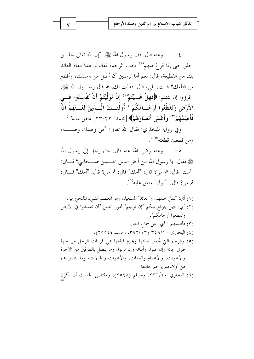وعنه قال: قال رسول الله ﷺ: "إن الله تعالى حلـــق  $-\xi$ الخلق حتى إذا فرغ منهم<sup>(١)</sup> قامت الرحم، فقالت: هذا مقام العائد بك من القطيعة، قال: نعم أما ترضين أن أصل من وصلك، وأقطع من قطعكِ؟ قالت: بلي، قال: فذلك لك، ثم قال رســـول الله ﷺ: "اقرؤوا إن شئتم: ﴿فَهَلْ عَسَيْتُمْ'') إِنْ تَوَلَّيْتُمْ أَنْ تُفْسِدُوا فَسَى الأَرْضِ وَتُقَطِّعُوا أَرْحَــامَكُمْ \* أُولَئــكَ الَّـــذينَ لَعَــنَهُمُ اللّهُ فَأَصَمَّهُمْ(") وَأَعْمَى أَبْصَارَهُمْ﴾ [محمد: ٢٣،٢٢] متفق عليه<sup>(٤)</sup>.

وفي رواية للبخاري: فقال الله تعالى: "من وصلك وصلته، ومن قطعك قطعته"<sup>(٥)</sup>.

٥– وعنه رضى الله عنه قال: جاء رحل إلى رسول الله ﷺ فقال: يا رسول الله من أحق الناس بحـــــــــن صــــحابتي؟ قــــال: "أمك" قال: ثم من؟ قال: "أمك" قال: ثم من؟ قال: "أمك" قــال: ثم من؟ قال: "أبوك" متفق عليه<sup>(٦)</sup>.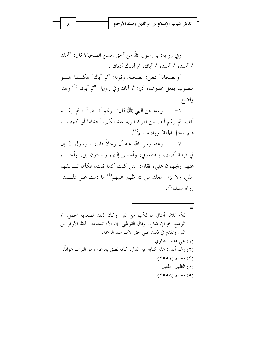وفي رواية: يا رسول الله من أحق بحسن الصحبة؟ قال: "أمك ثم أمك، ثم أمك، ثم أباك، ثم أدناك أدناك".

"والصحابة" بمعنى: الصحبة. وقوله: "ثم أباك" هكـــذا هـــو منصوب بفعل محذوف، أي: ثم أباك وفي رواية: "ثم أبوك"<sup>(١)</sup> وهذا واضح.

وعنه عن النبي ﷺ قال: "رغم أنسف<sup>(٢)</sup>، ثم رغسم  $-7$ أنف، ثم رغم أنف من أدرك أبويه عند الكبر، أحدهما أو كليهمـــا فلم يدحل الجنة" رواه مسلم<sup>(٣)</sup>.

٧– وعنه رشي الله عنه أن رحلاً قال: يا رسول الله إن لي قرابة أصلهم ويقطعوني، وأحسن إليهم ويسيئون إلى، وأحلـــم عنهم ويجهلون على، فقال: "لئن كنت كما قلت، فكأنما تـــسفهم الملل، ولا يزال معك من الله ظهير عليهم<sup>(٤)</sup> ما دمت على ذلـــك" رواه مسلم<sup>(٥)</sup>.

 $=$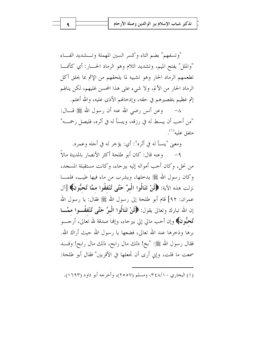"وتسفهم" بضم التاء وكسر السين المهملة وتسشديد الفساء "والملل" بفتح الميم، وتشديد اللام وهو الرماد الحسار: أي كأنمـــا تطعمهم الرماد الحار وهو تشبيه لما يلحقهم من الإثم بما يحلق آكل الرماد الحار من الألم، ولا شيء على هذا المحسن غليهم، لكن ينالهم إثم عظيم بتقصيرهم في حقه، وإدخالهم الأذى عليه، والله أعلم.

٨– وعن أنس رضى الله عنه أن رسول الله ﷺ قـــال: "من أحب أن يبسط له في رزقه، وينسأ له في أثره، فليصل رحمـــه" متفق عليه''.

ومعنى "ينسأ له في أثره": أي: يؤخر له في أجله وعمره.

وعنه قال: كان أبو طلحة أكثر الأنصار بالمدينة مالاً من نخل، وكان أحب أمواله إليه بيرحاء، وكانت مستقبلة المسجد، وكان رسول الله ﷺ يدخلها، ويشرب من ماء فيها طيب، فلمـــا نزلت هذه الآية: ﴿لَنْ تَنَالُوا الْبِرَّ حَتَّى تُنْفَقُوا ممَّا تُحبُّونَ﴾ [آل عمران: ٩٢] قام أبو طلحة إلى رسول الله ﷺ فقال: يا رسول الله إن الله تبارك وتعالى يقول: ﴿لَنْ تَنَالُوا الْبِرَّ حَتَّى تُنْفَقُــوا ممَّــا تُنْحَبُّونَ﴾ وإن أحب مالي إلى بيرحاء، وإنها صدقة لله تعالى، أرجــــو برها وذخرها عند الله تعالى، فضعها يا رسول الله حيث أراك الله. فقال رسول الله ﷺ: "بخ! ذلك مال رابح، ذلك مال رابح! وقـــد سمعت ما قلت، وإين أرى أن تجعلها في الأقربين" فقال أبو طلحة:

(۱) البخاري ۴٤٨/١٠، ومسلم (٢٥٥٧)، وأحرجه أبو داود (١٦٩٣).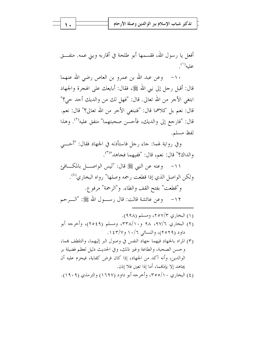| تذكير شباب الإسلام ببر الوالدين وصلة الأرحام |  |  |  |  |  |  |
|----------------------------------------------|--|--|--|--|--|--|
|----------------------------------------------|--|--|--|--|--|--|

أفعل يا رسول الله، فقسمها أبو طلحة في أقاربه وبني عمه. متفــق عليه''.

١٠– وعن عبد الله بن عمرو بن العاص رضى الله عنهما قال: أقبل رحل إلى نبي الله ﷺ، فقال: أبايعك على الهجرة والجهاد ابتغي الأجر من الله تعالى. قال: "فهل لك من والديك أحد حي؟" قال: نعم بل كلاهما قال: "فتبتغي الأجر من الله تعالى؟" قال: نعم. قال: "فارجع إلى والديك، فأحسن صحبتهما" متفق عليه<sup>(٢)</sup>. وهذا لفظ مسلم.

وفي رواية لهما: جاء رجل فاستأذنه في الجهاد فقال: "أحــــى والداك؟" قال: نعم، قال: "ففيهما فجاهد"(٣).

١١– وعنه عن النبي ﷺ قال: "ليس الواصـــل بالمكـــافيمَ ولكن الواصل الذي إذا قطعت رحمه وصلها" رواه البخاري<sup>(٤)</sup>.

و"قطعت" بفتح القف والطاء. و"الرحمة" مرفوع.

١٢– وعن عائشة قالت: قال رســــول الله ﷺ: "الــــرحم

- (۱) البخاري ۲۵۷/۳، ومسلم (۹۹۸). (٢) البخاري ٩٧/٦، ٩٨ و٣٣٨/١٠، ومسلم (٢٥٤٩)، وأحرجه أبو داود (۲۰۲۹)، والنسائي ۱۰/۲ و ۱٤۳/۷.
- (٣) المراد بالجهاد فيهما جهاد النفس في وصول البر إليهما، والتلطف بمما، وحسن الصحبة، والطاعة وغير ذلك، وفي الحديث دليل لعظم فضيلة بر الوالدين، وأنه آكد من الجهاد، إذا كان فرض كفاية، فيحرم عليه أن يحاهد إلا بإذهْما، أما إذا تعين فلا إذن. (٤) البخاري ٢٥٥/١٠، وأحرجه أبو داود (١٦٩٧) والترمذي (١٩٠٩).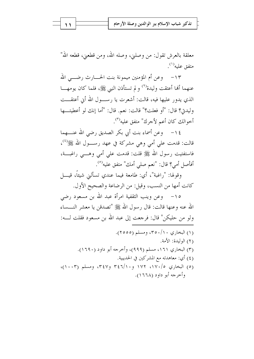| تذكير شباب الإسلام ببر الوالدين وصلة الأرحام |  |  |  |  |  |  |
|----------------------------------------------|--|--|--|--|--|--|
|----------------------------------------------|--|--|--|--|--|--|

معلقة بالعرش تقول: من وصلني، وصله الله، ومن قطعني، قطعه الله" متفق عليه<sup>(۱)</sup>.

١٣– وعن أم المؤمنين ميمونة بنت الحــــارث رضـــــى الله عنهما ألها أعتقت وليدة'' و لم تستأذن النبي ﷺ، فلما كان يومهـــا الذي يدور عليها فيه، قالت: أشعرت يا رســـول الله أبي أعتقـــت وليدني؟ قال: "أو فعلت؟" قالت: نعم. قال: "أما إنك لو أعطيتها أخوالك كان أعم لأجرك" متفق عليه<sup>(٣)</sup>.

١٤ - وعن أسماء بنت أبي بكر الصديق رضي الله عنــــهما قالت: قدمت على أمي وهي مشركة في عهد رســـول الله ﷺ ')، فاستفتيت رسول الله ﷺ قلت: قدمت على أمى وهـــي راغبـــة، أفأصل أمي؟ قال: "نعم صلى أمك" متفق عليه<sup>(٥)</sup>.

وقولها: "راغبة"، أي: طامعة فيما عندي تسألني شيئًا، قيــــل كانت أمها من النسب، وقيل: من الرضاعة والصحيح الأول.

١٥– وعن وينب الثقفية امرأة عبد الله بن مسعود رضي الله عنه وعنها قالت: قال رسول الله ﷺ "تصدقن يا معشر النـــساء ولو من حليكن" قال: فرجعت إلى عبد الله بن مسعود فقلت لــــه: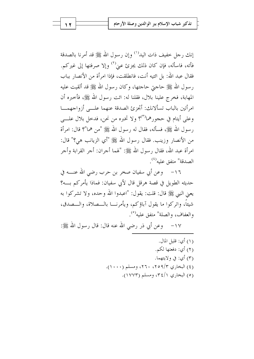إنك رحل خفيف ذات اليد<sup>(١)</sup> وإن رسول الله ﷺ قد أمرنا بالصدقة فأته، فاسأله، فإن كان ذلك يجزئ عنيْ<sup>(٢)</sup> وإلا صرفتها إلى غيركم. فقال عبد الله: بل ائتيه أنت، فانطلقت، فإذا امرأة من الأنصار بباب رسول الله ﷺ حاجتي حاجتها، وكان رسول الله ﷺ قد ألقيت عليه المهابة، فخرج علينا بلال، فقلنا له: ائت رسول الله ﷺ، فأحبره أن امرأتين بالباب تسألانك: أُتجزئ الصدقة عنهما علــي أزواجهمـــا وعلي أيتام في حجورهما<sup>(٣)</sup>؟ ولا تخبره من نحن، فدخل بلال علـــي رسول الله ﷺ، فسأله، فقال له رسول الله ﷺ "من هما"؟ قال: امرأة من الأنصار وزينب. فقال رسول الله ﷺ "أي الزيانب هي؟" قال: امرأة عبد الله، فقال رسول الله ﷺ: "لهما أجران: أجر القرابة وأجر الصدقة" متفق عليه<sup>(٤)</sup>.

١٦- \_ وعن أبي سفيان صخر بن حرب رضي الله عنـــه في حديثه الطويل في قصة هرقل قال لأبي سفيان: فماذا يأمركم بـــه؟ يعني النبي ﷺ قال: قلت: يقول: "اعبدوا الله وحده، ولا تشركوا به شيئاً، واتركوا ما يقول آباؤكم، ويأمرنـــا بالـــصلاة، والـــصدق، والعفاف، والصلة" متفق عليه<sup>(٥)</sup>.

١٧– وعن أبي ذر رضي الله عنه قال: قال رسول الله ﷺ:

(١) أي: قليل المال. (٢) أي: دفعتها لكم. (٣) أي: في ولايتهما. (٤) البخاري ٩/٣٥٩/٣، ٢٦٠، ومسلم (١٠٠٠). (٥) البخاري ٣٤/١، ومسلم (١٧٧٣).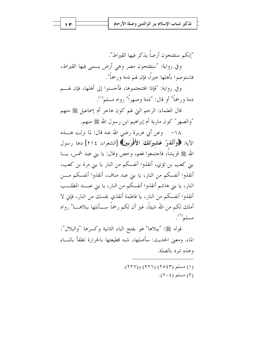"إنكم ستفتحون أرضاً يذكر فبها القيراط". وفي رواية: "ستفتحون مصر وهي أرض يسمى فيها القيراط، فاستوصوا بأهلها حيراً، فإن لهم ذمة ورحماً".

وفي رواية: "فإذا افتتحتموها، فأحسنوا إلى أهلها، فإن لهـــم ذمة ورحماً" أو قال: "ذمة وصهراً" رواه مسلم```.

قال العلماء: الرحم التي لهم كون هاجر أم إسماعيل ﷺ منهم "والصهر" كون مارية أم إبراهيم ابن رسول الله ﷺ منهم.

١٨– وعن أبي هريرة رضي الله عنه قال: لما نزلت هــــذه الآية: ﴿وَأَنْذُرْ عَشْيِرَتَكَ الأَقْرَبِينَ﴾ [الشعراء: ٢١٤] دعا رسول الله ﷺ قريشاً، فاجتمعوا فعم، وخص وقال: يا بني عبد شمس، يـــا بني كعب بن لؤي، أنقذوا أنفسكم من النار يا بني مرة بن كعب، أنقذوا أنفسكم من النار، يا بني عبد مناف، أنقذوا أنفسكم مـــن النار، يا بني هاشم أنقذوا أنفسكم من النار، يا بني عبـــد المطلـــب أنقذوا أنفسكم من النار، يا فاطمة أنقذي نفسك من النار، فإني لا أملك لكم من الله شيئاً، غير أن لكم رحماً ســــأبلها ببلاهــــا" رواه مسلم<sup>(٢)</sup>.

قوله ﷺ: "ببلاها" هو بفتح الباء الثانية وكسرها "والبلال": الماء. ومعنى الحديث: سأصلها، شبه قطيعتها بالحرارة تطفأ بالمـــاء وهذه تيرد بالصلة.

> (۱) مسلم (۲۶۵) (۲۲۲) و(۲۲۷).  $(7 \cdot 2)$  مسلم (٢٠٤).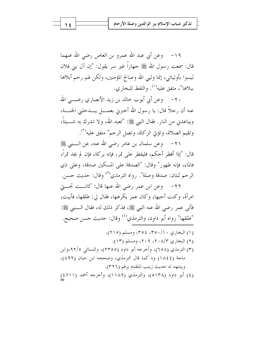١٩ - وعن أبي عبد الله عمرو بن العاص رضي الله عنهما قال: سمعت رسول الله ﷺ جهاراً غير سر يقول: "إن آل بني فلان ليسوا بأوليائي، إنما وليي الله وصالح المؤمنين، ولكن لهم رحم أبلاها ببلاها"، متفق عليه'''. واللفظ للبخاري.

٢٠ – وعن أبي أيوب خالد بن زيد الأنصاري رضــــي الله عنه أن رجلاً قال: يا رسول الله أحبرني بعمـــل يــــدحلبي الجنــــة، ويباعدني من النار. فقال النبي ﷺ: "تعبد الله، ولا تشرك به شــــيئاً، وتقيم الصلاة، وتؤتى الزكاة، وتصل الرحم" متفق عليه<sup>(٢)</sup>.

٢١– وعن سلمان بن عامر رضي الله عنه، عن الــــنبي ﷺ قال: "إذا أفطر أحكم، فليفطر على تمر، فإنه بركة، فإن لم يجد تمرًا، فالماء، فإنه طهور" وقال: "الصدقة على المسكين صدقة، وعلى ذي الرحم ثنتان: صدقة وصلة". رواه الترمذي<sup>(٣)</sup> وقال: حديث حسن.

٢٢- \_ وعن ابن عمر رضي الله عنها قال: كانـــت تحــــتي امرأة، وكنت أحبها، وكان عمر يكرهها، فقال لي: طلقها، فأبيت، فأتى عمر رضي الله عنه النبي ﷺ، فذكر ذلك له، فقال الــــنبي ﷺ: "طلقها" رواه أبو داود، والترمذي<sup>(٤)</sup> وقال: حديث حسن صحيح.

(۱) البخاري ۲۰/۰۰م، ۳۵٤، مسلم (۲۱٥). (٢) البخاري ٢٠٨/٣، ٢٠٩، ومسلم (١٣). (٣) الترمذي (٦٥٨)، وأحرجه أبو داود (٢٣٥٥)، والنسائي ٩٢/٥،وابن ماحة (١٨٤٤) وه كما قال الترمذي، وصححه ابن حبان (٨٩٢)، ويشهد له حديث زينب المتقدم برقم (٣٢٦). (٤) أبو داود (٥١٣٨)، والترمذي (١١٨٩)، وأحرجه أحمد (٤٧١١)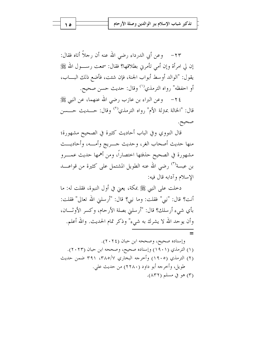٢٣– وعن أبي الدرداء رضي الله عنه أن رحلاً أتاه فقال: إن لي امرأة وإن أمي تأمرني بطلاقها؟ فقال: سمعت رســــول الله ﷺ يقول: "الوالد أوسط أبواب الجنة، فإن شئت، فأضع ذلك البــــاب، أو احفظه" رواه الترمذي'') وقال: حديث حسن صحيح.

٢٤– وعن البراء بن عازب رضي الله عنهما، عن النبي ﷺ قال: "الخالة بمترلة الأم" رواه الترمذي<sup>(٢)</sup> وقال: حـــديث حــــسن صحيح.

قال النووي وفي الباب أحاديث كثيرة في الصحيح مشهورة؛ منها حديث أصحاب الغر، وحديث حسريج وأمسه، وأحاديست مشهورة في الصحيح حذفتها اختصاراً، ومن أهمها حديث عمـــرو بن عبسة<sup>(٣)</sup> رضى الله عنه الطويل المشتمل على كثيرة من قواعــــد الاسلام وآدابه قال فيه:

دخلت على النبي ﷺ بمكة، يعني في أول النبوة، فقلت له: ما أنت؟ قال: "نبي" فقلت: وما نبي؟ قال: "أرسلني الله تعالى" فقلت: بأي شيء أرسلك؟ قال: "أرسلني بصلة الأرحام، وكسر الأوثـــان، وأن يوحد الله لا يشرك به شيء" وذكر تمام الحديث. والله أعلم.

ه ۱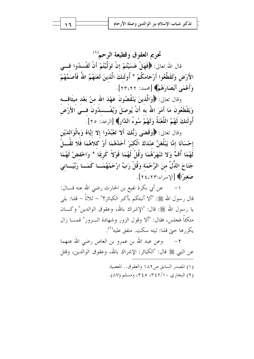تحريم العقوق وقطيعة الرحم (') قال الله تعالى: ﴿فَهَلْ عَسَيْتُمْ إِنْ تَوَلَّيْتُمْ أَنْ تُفْسِدُوا فِسِي الأَرْضِ وَتُقَطِّعُوا أَرْحَامَكُمْ \* أُولَئكَ الَّذينَ لَعَنَهُمُ اللَّهُ فَأَصَمَّهُمْ وَأَعْمَى أَبْصَارَهُمْ﴾ [محد: ٢٣،٢٢].

وقال تعالى: ﴿وَالَّذِينَ يَنْقُضُونَ عَهْدَ الله منْ بَعْدِ مِيثَاقِــهِ وَيَقْطَعُونَ مَا أَمَرَ اللّهُ به أَنْ يُوصَلَ وَيُفْــسدُونَ فـــي الأَرْض أُولَئِكَ لَهُمُ اللَّعْنَةُ وَلَهُمْ سُوءُ الدَّارِ﴾ [الرعد: ٢٥].

وقال تعالى: ﴿وَقَضَى رَبُّكَ أَلَّا تَعْبُدُوا إِلَّا إِيَّاهُ وَبِالْوَالِدَيْنِ إِحْسَانًا إِمَّا يَبْلُغَنَّ عِنْدَكَ الْكِبَرَ أَحَدُهُمَا أَوْ كِلاَهُمَا فَلا تَقُــالُ لَهُمَا أُفٍّ وَلا تَنْهَرْهُمَا وَقُلْ لَهُمَا قَوْلاً كَرِيمًا \* وَاحْفضْ لَهُمَا جَنَاحَ الذُّلِّ منَ الرَّحْمَة وَقُلْ رَبِّ ارْحَمْهُمَــا كَمَــا رَبَّيَــانى صَغيرًا﴾ [الإسراء:٢٤،٢٣].

عن أبي بكرة نفيع بن الحارث رضي الله عنه قـــال: قال , سول الله ﷺ: "ألا أنبئكم بأكبر الكبائر؟" – ثلاثًا – قلنا: بلي يا رسول الله ﷺ: قال: "الإشراك بالله، وعقوق الوالدين" وكـــان متكئاً فجلس، فقال: "ألا وقول الزور وشهادة الــزور" فمـــا زال يكررها حتى قلنا: ليته سكت. متفق عليه<sup>(٢)</sup>.

وعن عبد الله بن عمرو بن العاص رضي الله عنهما  $-7$ عن النبي ﷺ قال: "الكبائر: الإشراك بالله، وعقوق الوالدين، وقتل

> (١) المصدر السابق ص١٨٢ والعقوق.. المعصبة. (۲) البخاري ۳٤٢/۱۰، ۳٤٥، ومسلم (۸۷).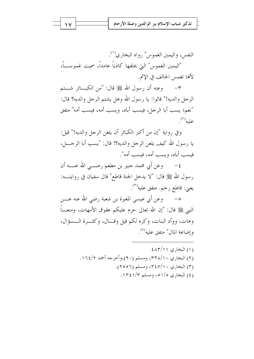النفس، واليمين الغموس" , واه البخاري<sup>(١</sup>). "اليمين الغموس" التي يحلفها كاذباً عامداً، سميت غموســـاً، لألها تغمس الحالف في الاثم.

وعنه أن رسول الله ﷺ قال: "من الكبـــائر شـــتم  $-\tau$ الرحل والديه!" قالوا: يا رسول الله وهل يشتم الرحل والديه؟ قال: "نعم؛ يسب أبا الرجل، فيسب أباه، ويسب أمه، فيسب أمه" متفق عليه''.

وفي رواية "إن من أكبر الكبائر أن يلعن الرجل والديه!" قيل: يا رسول الله كيف يلعن الرحل والديه؟! قال: "يسب أبا الرحــــــل، فيسب أباه، ويسب أمه، فيسب أمه".

وعن أبي محمد جبير بن مطعم رضـــي الله عنـــه أن  $-\xi$ رسول الله ﷺ قال: "لا يدخل الجنة قاطع" قال سفيان في روايتــــه: يعني: قاطع رحم. متفق عليه<sup>(٣)</sup>.

٥– وعن أبي عيسى المغيرة بن شعبة رضي الله عنه عــــن النبي ﷺ قال: "إن الله تعالى حرم عليكم عقوق الأمهات، ومنعـــاً وهات، ووأد البنات، وكره لكم قيل وقـــال، وكثـــرة الـــسؤال، وإضاعة المال" متفق عليه<sup>(٤)</sup>.

> (۱) البخاري ۶۸۳/۱۱. (٢) البخاري ٣٣٨/١٠، ومسلم (٩٠)،وأخرجه أحمد ١٦٤/٢. (۳) البخاري ۳٤٧/۱۰ ته ومسلم (۲۰۵۲). (٤) البخاري ١٥١/٥، ومسلم ١٣٤١/٣.

 $\sqrt{}$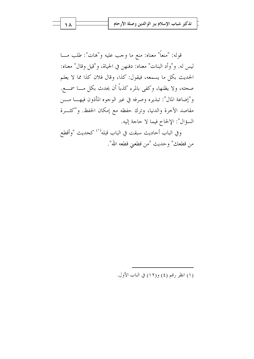قوله: "منعاً" معناه: منع ما وجب عليه و"هات": طلب مـــا ليس له. و"وأد البنات" معناه: دفنهن في الحياة، و"قيل وقال" معناه: الحديث بكل ما يسمعه، فيقول: كذا، وقال فلان كذا مما لا يعلم صحته، ولا يظنها، وكفى بالمرء كذباً أن يحدث بكل مـــا سمــــع. و"إضاعة المال": تبذيره وصرفه في غير الوجوه المأذون فيهـــا مــــن مقاصد الآخرة والدنيا، وترك حفظه مع إمكان الحفظ. و"كثـــرة السؤال": الإلحاح فيما لا حاجة إليه.

وفي الباب أحاديث سبقت في الباب قبله<sup>(١)</sup> كحديث "وأقطع من قطعك" وحديث "من قطعيٰ قطعه الله".

(١) انظر رقم (٤) و(١٢) في الباب الأول.

۱۸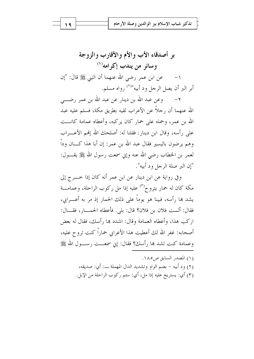بر أصدقاء الأب والأم والأقارب والزوجة وسائر من يندب إكرامه'``

عن ابن عمر رضي الله عنهما أن النبي ﷺ قال: "إن أبر البر أن يصل الرحل ود أبيه"<sup>(٢)</sup> رواه مسلم.

٢ – وعن عبد الله بن دينار عن عبد الله بن عمر رضــــى الله عنهما أن , حلاً عن الأعراب لقيه بطريق مكة، فسلم عليه عبد الله بن عمر، وحمله على حمارٍ كان يركبه، وأعطاه عمامة كانـــت على , أسه، وقال ابن دينا, : فقلنا له: أصلحك الله إفمم الأعـــراب وهم يرضون باليسير فقال عبد الله بن عمر: إن أبا هذا كـــان وداً لعمر بن الخطاب رضي الله عنه وإين سمعت رسول الله ﷺ يقــــول: "إن البر صلة الرجل ود أبيه".

وفي رواية عن ابن دينار عن ابن عمر أنه كان إذا حـــرج إلى مكة كان له حمار يتروح<sup>(٣)</sup> عليه إذا مل ركوب الراحلة، وعمامـــة يشد بما رأسه، فبينا هو يوماً على ذلك الحمار إذ مر به أعــــرابي، فقال: ألست فلان بن فلان؟ قال: بلي. فأعطاه الحمـــار ، فقـــال: اركب هذا، وأعطاه العمامة وقال: اشدد ها , أسك، فقال له بعض أصحابه: غفر الله لك أعطيت هذا الأعرابي حماراً كنت تروح عليه، وعمامة كنت تشد ها رأسك؟ فقال: إين سمعـــت , ســـول الله ﷺ

> (١) المصدر السابق ص١٨٥. (٢) ود أبيه – بضم الواو وتشديد الدال المهملة ـــ: أي: صديقه، (٣) أي: يستريح عليه إذا مل، أي: سئم ركوب الراحلة من الإبل.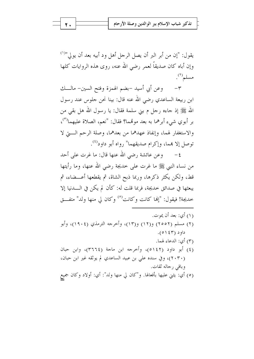يقول: "إن من أبر البر أن يصل الرجل أهل ود أبيه بعد أن يولى"<sup>(١)</sup> وإن أباه كان صديقاً لعمر رضي الله عنه، روى هذه الروايات كلها مسلم<sup>(٢)</sup>.

وعن أبي أسيد –بضم الهمزة وفتح السين– مالـــك  $-\tau$ ابن ربيعة الساعدي رضي الله عنه قال: بينا نحن حلوس عند رسول الله ﷺ إذ حاءه رحل م بني سلمة فقال: يا رسول الله هل بقى من بر أبوي شيء أبرهما به بعد موقمما؟ فقال: "نعم، الصلاة عليهما<sup>(٣)</sup>، والاستغفار لهما، وإنفاذ عهدهما من بعدهما، وصلة الرحم الـــتي لا توصل إلا هما، وإكرام صديقهما" رواه أبو داود<sup>(٤)</sup>.

وعن عائشة رضي الله عنها قال: ما غرت على أحد  $-\epsilon$ من نساء النبي ﷺ ما غرت على حديجة رضي الله عنها، وما رأيتها قط، ولكن يكثر ذكرها، وربما ذبح الشاة، ثم يقطعها أعـــضاء، ثم يبعثها في صدائق حديجة، فربما قلت له: كأن لم يكن في الــــدنيا إلا حديجة! فيقول: "إلها كانت وكانت<sup>(٥)</sup> وكان لي منها ولد" متفــق

(١) أي: بعد أن يموت. (٢) مسلم (٢٥٥٢) و(١٢) و(١٣)، وأخرجه الترمذي (١٩٠٤)، وأبو  $.(\circ$  ( 1 ٤ م). (٣) أي: الدعاء لهما. (٤) أبو داود (٥١٤٢)، وأخرجه ابن ماجة (٣٦٦٤)، وابن حبان (٢٠٣٠)، وفي سنده على بن عبيد الساعدي لم يوثقه غير ابن حبان، وباقى رحاله ثقات. (٥) أي: يثني عليها بأفعالها. و"كان لي منها ولد": أي: أولاد وكان جميع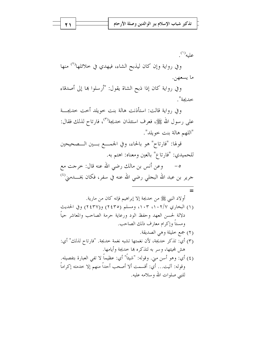عليه''.

وفي رواية وإن كان ليذبح الشاء، فيهدي في خلائلها<sup>(٢)</sup> منها ما يسعهن.

وفي رواية كان إذا ذبح الشاة يقول: "أرسلوا ها إلى أصدقاء خديحة".

وفي , واية قالت: استأذنت هالة بنت خويلد أحت حديجـــة على رسول الله ﷺ، فعرف استئذان حديجة<sup>(٣)</sup>، فارتاح لذلك فقال: "اللهم هالة بنت خويلد".

قولها: "فارتاح" هو بالحاء، وفي الجمـــع بـــين الـــصحيحين للحميدي: "فارتاع" بالعين ومعناه: اهتم به.

وعن أنس بن مالك رضي الله عنه قال: خرجت مع  $-\circ$ جرير بن عبد الله البجلي رضي الله عنه في سفر، فكان يخــــدمني<sup>(٤)</sup>

أولاد النبي ﷺ من خديجة إلا إبراهيم فإنه كان من مارية. (۱) البخاري ۰۱۰۲/۷، ۱۰۳، ومسلم (۲٤۳٥) و(۲٤۳۷) وفي الحديث دلالة لحسن العهد وحفظ الود ورعاية حرمة الصاحب والمعاشر حياً ومستاً وإكرام معارف ذلك الصاحب. (٢) جمع خليلة وهي الصديقة. (٣) أي: تذكر حديجة، لأن نغمتها تشبه نغمة حديجة. "فارتاح لذلك" أي: هش لمحيئها، وسر به لتذكره ها حديجة وأيامها.

(٤) أي: وهو أسن مني. وقوله: "شيئاً" أي: عظيماً لا تفي العبارة بتفصيله. وقوله: آليت... أي: أقسمت ألا أصحب أحداً منهم إلا خدمته إكراماً للنبي صلوات الله وسلامه عليه.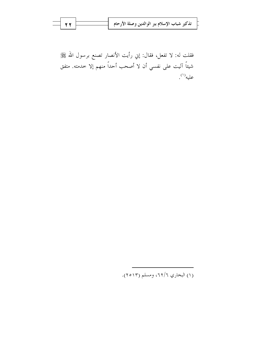| $\overline{\phantom{0}}$ $\overline{\phantom{0}}$ $\overline{\phantom{0}}$ $\overline{\phantom{0}}$ $\overline{\phantom{0}}$ $\overline{\phantom{0}}$ $\overline{\phantom{0}}$ $\overline{\phantom{0}}$ $\overline{\phantom{0}}$ $\overline{\phantom{0}}$ $\overline{\phantom{0}}$ $\overline{\phantom{0}}$ $\overline{\phantom{0}}$ $\overline{\phantom{0}}$ $\overline{\phantom{0}}$ $\overline{\phantom{0}}$ $\overline{\phantom{0}}$ $\overline{\phantom{0}}$ $\overline{\$ |  |  |
|---------------------------------------------------------------------------------------------------------------------------------------------------------------------------------------------------------------------------------------------------------------------------------------------------------------------------------------------------------------------------------------------------------------------------------------------------------------------------------|--|--|
|                                                                                                                                                                                                                                                                                                                                                                                                                                                                                 |  |  |
|                                                                                                                                                                                                                                                                                                                                                                                                                                                                                 |  |  |

فقلت له: لا تفعل، فقال: إني رأيت الأنصار تصنع برسول الله ﷺ شيئاً آليت على نفسي أن لا أصحب أحداً منهم إلا خدمته. متفق عليه''.

(۱) البخاري ٦٢/٦، ومسلم (٢٥١٣).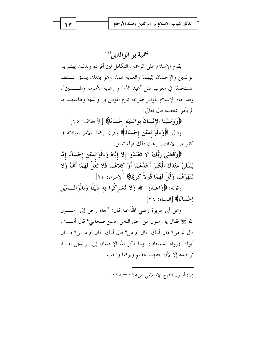أهمية بر الوالدين (١)

يقوم الإسلام علىي الرحمة والتكافل لين أفراده ولذلك يهتم ببر الوالدين والإحسان إليهما والعناية بمما، وهو بذلك يسبق الـنظم المستحدثة في الغرب مثل "عيد الأم" و"رعاية الأمومة والمــــسنين". وقد جاء الإسلام بأوامر صريحة تلزم المؤمن ببر والديه وطاعتهما ما لم بأمرا بمعصية قال تعالى:

﴿وَوَصَّيْنَا الإِنْسَانَ بِوَاللَّيْهِ إِحْسَانًا﴾ [الأحقاف: ١٥].

وقال: ﴿وَبِالْوَاللَّيْنِ إِحْسَانًا﴾ وقرن برهما بالأمر بعبادته في كثير من الآيات. برهان ذلك قوله تعالى:

﴿وَقَضَى رَبُّكَ أَلا تَعْبُدُوا إِلا إِيَّاهُ وَبِالْوَالِدَيْنِ إِحْسَانًا إِمَّا يَبْلُغَنَّ عِنْدَكَ الْكَبَرَ أَحَدُهُمَا أَوْ كلاهُمَا فَلا تَقُلْ لَهُمَا أُفٍّ وَلا تَنْهَرْهُمَا وَقُلْ لَهُمَا قَوْلاً كَرِيمًا﴾ [الإسراء: ٢٣].

وقوله: ﴿وَاعْبُدُوا اللَّهَ وَلا تُشْرِكُوا به شَيْئًا وَبِالْوَالِـــدَيْنِ إِحْسَانًا﴾ [النساء: ٣٦].

وعن أبي هريرة رضي الله عنه قال: "جاء رجل إلى رســـول الله ﷺ فقال يا رسول من أحق الناس بحسن صحابت؟ قال أمـــك. قال ثم من؟ قال أمك. قال ثم من؟ قال أمك. قال ثم مــــــن؟ قــــال أبوك" (رواه الشيخان). وما ذكر الله الإحسان إلى الوالدين بعـــد توحيده إلا لأن حقهما عظيم وبرهما واجب.

(١) أصول المنهج الإسلامي ص٢٢٥ – ٢٢٨.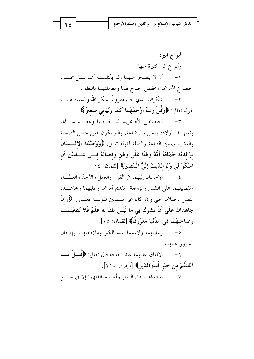أنواع البر: وأنواع البر كثيرة منها: ١– أن لا يتضجر منهما ولو بكلمـــة أف بـــل يجـــب الخضوع لأمرهما وخفض الجناح لهما ومعاملتهما باللطف.

٢ – شكرهما الذي جاء مقروناً بشكر الله والدعاء لهمســا لقوله تعالى: ﴿وَقُلْ رَبِّ ارْحَمْهُمَا كَمَا رَبَّيَانِي صَغِيرًا﴾.

٣- اختصاص الأم بمزيد البر لحاحتها وعظــم شـــألها وتعبها في الولادة والحل والرضاعة. والبر يكون بمعنى حسن الصحبة والعشرة وبمعنى الطاعة والصلة لقوله تعالى: ﴿وَوَصَّيْنَا الإِنْــسَانَ بوَالدَيْه حَمَلَتْهُ أُمُّهُ وَهْنًا عَلَى وَهْنِ وَفصَالُهُ فــي عَــامَيْنِ أَن اشْكُرْ لي وَلوَالدَيْكَ إِلَيَّ الْمَصِيرُ﴾ [لقمان: ١٤

٤ – الإحسان إليهما في القول والعمل والأخذ والعطساء وتفضيلهما على النفس والزوجة وتقديم أمرهما وطلبهما ومحاهــدة النفس برضاهما حيّ وإن كانا غير مسلمين لقولـــه تعـــالى: ﴿وَإِنْ جَاهَدَاكَ عَلَى أَنْ تُشْرِكَ بي مَا لَيْسَ لَكَ به علْمٌ فَلا تُطعْهُمَـــا وَصَاحِبْهُمَا فِي اللُّّنْيَا مَعْرُوفًا﴾ [لقمان: ١٥].

0- رعايتهما ولاسيما عند الكبر وملاطفتهما وإدحال السرور عليهما.

٦- الإنفاق عليهما عند الحاحة قال تعالى: ﴿ قُمَــا ۭ مَـــا أَنْفَقْتُمْ منْ خَيْرٍ فَللْوَاللَّيْنِ﴾ [البقرة: ٢١٥]. ٧– استئذالهما قبل السفر وأحذ موافقتهما إلا في حــــج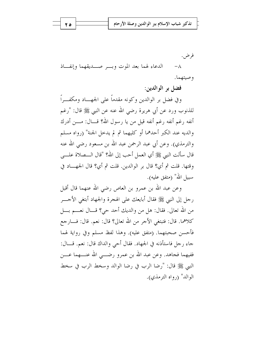فرض . الدعاء لهما بعد الموت وبسر صلويقهما وإنفاذ  $-\Lambda$ و صيتهما.

فضل بر الوالدين:

وفي فضل بر الوالدين وكونه مقدماً على الجهـــاد ومكفـــراً للذنوب ورد عن أبي هريرة رضي الله عنه عن النبي ﷺ قال: "رغم أنفه رغم أنفه رغم أنفه قيل من يا رسول الله؟ قـــال: مــــن أدرك والديه عند الكبر أحدهما أو كليهما ثم لم يدخل الجنة" (رواه مسلم والترمذي). وعن أبي عبد الرحمن عبد الله بن مسعود رضي الله عنه قال سألت النبي ﷺ أي العمل أحب إلى الله؟ "قال الـــصلاة علــــي وقتها. قلت ثم أي؟ قال بر الوالدين. قلت ثم أي؟ قال الجهـــاد في سببل الله" (متفق عليه).

وعن عبد الله بن عمرو بن العاص رضي الله عنهما قال أقبل رحل إلى النبي ﷺ فقال أبايعك على الهجرة والجهاد أبتغي الأحــــر من الله تعالى. فقال: هل من والديك أحد حي؟ قـــال نعــــم بــــل كلاهما. قال: فتبتغي الأجر من الله تعالى؟ قال: نعم. قال: فــــارجع فأحسن صحبتهما. (متفق عليه). وهذا لفظ مسلم وفي رواية لهما جاء رحل فاستأذنه في الجهاد. فقال أحي والداك قال: نعم. قـــال: ففيهما فجاهد. وعن عبد الله بن عمرو رضـــي الله عنــــهما عــــن النبي ﷺ قال: "رضا الرب في رضا الوالد وسخط الرب في سخط الوالد" (, واه الترمذي).

ه ۲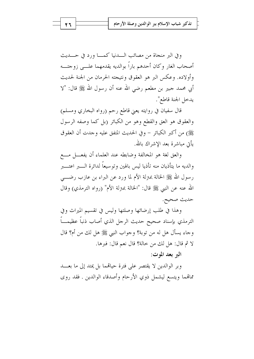وفي البر منجاة من مصائب السدنيا كمسا ورد في حسديث أصحاب الغار وكان أحدهم باراً بوالديه يقدمهما علـــي زوجتـــه وأولاده. وعكس البر هو العقوق ونتيجته الحرمان من الجنة لحديث أبي محمد جبير بن مطعم رضي الله عنه أن رسول الله ﷺ قال: "لا يدخل الجنة قاطع".

قال سفيان في روايته يعني قاطع رحم (رواه البخاري ومسلم) والعقوق هو العق والقطع وهو من الكبائر (بل كما وصفه الرسول ﷺ) من أكبر الكبائر – وفي الحديث المتفق عليه وجدت أن العقوق بأتي مباشرة بعد الاشراك بالله.

والعق لغة هو المخالفة وضابطه عند العلماء أن يفعــــل مــــع والديه ما يتأذيان منه تأذيا ليس بالهين وتوسيعاً لدائرة الـــــبر اعتـــــبر ر سول الله ﷺ الحالة بمترلة الأم لما ورد عن البراء بن عازب رضــــي الله عنه عن النبي ﷺ قال: "الخالة بمترلة الأم" (رواه الترمذي) وقال حديث صحيح.

وهذا في طلب إرضائها وصلتها وليس في تقسيم الميراث وفي الترمذي بإسناد صحيح حديث الرجل الذي أصاب ذنباً عظيمــاً وجاء يسأل هل له من توبة؟ وجواب النبي ﷺ هل لك من أم؟ قال لا ثم قال: هل لك من خالة؟ قال نعم قال: فيرها.

الہ بعد الموت:

وبر الوالدين لا يقتصر على فترة حيالهما بل يمتد إلى ما بعـــد مماهما ويتسع ليشمل ذوي الأرحام وأصدقاء الوالدين . فقد روى

27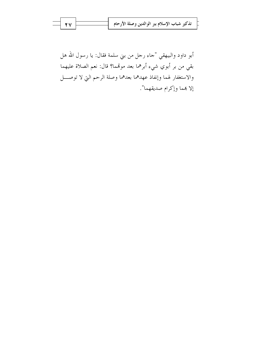أبو داود والبيهقي "جاء رجل من بني سلمة فقال: يا رسول الله هل بقي من بر أبوي شيء أبرهما بعد موقمما؟ قال: نعم الصلاة عليهما والاستغفار لهما وإنفاذ عهدهما بعدهما وصلة الرحم التي لا توصــــل إلا بهما وإكرام صديقهما".

Y Y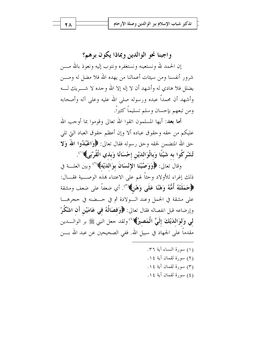واجبنا نحو الوالدين وبماذا يكون برهم؟

إن الحمد لله ونستعينه ونستغفره ونتوب إليه ونعوذ بالله مــــن شرور أنفسنا ومن سيئات أعمالنا من يهده الله فلا مضل له ومـــن يضلل فلا هادي له وأشهد أن لا إله إلا الله وحده لا شـــــريك لـــــه وأشهد أن محمداً عبده ورسوله صلى الله عليه وعلى آله وأصحابه ومن تبعهم بإحسان وسلم تسليماً كثيراً.

**أما بعد:** أيها المسلمون اتقوا الله تعالى وقوموا بما أوجب الله عليكم من حقه وحقوق عباده ألا وإن أعظم حقوق العباد التي تلي حق الله المتضمن لحقه وحق رسوله فقال تعالى: ﴿وَاعْبُلُوا اللَّهُ وَلَا تُشْرِكُوا به شَيْئًا وَبِالْوَالدَيْنِ إحْسَانًا وَبِذي الْقُرْبَى﴾(`'.

وقال تعالى: ﴿وَوَصَّيْنَا الإِنْسَانَ بِوَاللَّهَلَّهُمْ ۚ ( ۚ وبين العلـــة في ذلك إغراء للأولاد وحثاً لهم على الاعتناء بمذه الوصـــية فقـــال: ﴿حَمَلَتْهُ أُمُّهُ وَهْنًا عَلَى وَهْنٌ﴾("). أي ضعفاً على ضعف ومشقة على مشقة في الحمل وعند السولادة ثم في حـضنه في حجرهـــا وإرضاعه قبل انفصاله فقال تعالى: ﴿وَفَصَالُهُ في عَامَيْنِ أَنِ اشْكُرْ لى وَلوَالدَيْكَ إِلَيَّ الْمَصِيرُ﴾(<sup>٤)</sup> ولقد حعل النبي ﷺ بر الوالـــدين مقدماً على الجهاد في سبيل الله. ففي الصحيحين عن عبد الله بــــن

- (١) سورة النساء آية ٣٦. (٢) سورة لقمان آية ١٤.
- (٣) سورة لقمان آية ١٤.
- (٤) سورة لقمان آية ١٤.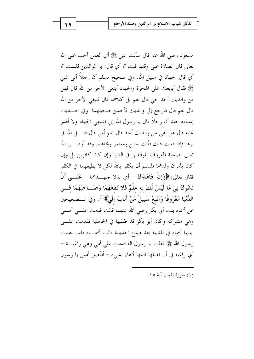مسعود رضي الله عنه قال سألت النبي ﷺ أي العمل أحب على الله تعالى قال الصلاة على وقتها قلت ثم أي قال: بر الوالدين قلـــت ثم أي قال الجهاد في سبيل الله. وفي صحيح مسلم أن رحلاً أتبي النبي ﷺ فقال أبايعك على الهجرة والجهاد أبتغي الأجر من الله قال فهل من والديك أحد حي قال نعم بل كلاهما قال فتبغي الأجر من الله قال نعم قال فارجع إلى والديك فأحسن صحبتهما. وفي حـــديث إسناده جيد أن رحلاً قال يا رسول الله إين اشتهى الجهاد ولا أقدر عليه قال هل بقى من والديك أحد قال نعم أمى قال قابــــل الله في برها فإذا فعلت ذلك فأنت حاج ومعتمر ومجاهد. وقد أوصـــي الله تعالى بصحبة المعروف للوالدين في الدنيا وإن كانا كافرين بل وإن كانا يأمران ولدهما المسلم أن يكفر بالله لكن لا يطيعهما في الكفر فقال تعالى: ﴿وَإِنْ جَاهَدَاكَ – أي بذلا حهـــدهما – عَلَـــمِ أَنْ تُشْرِكَ بِي مَا لَيْسَ لَكَ بِه عِلْمٌ فَلا تُطِعْهُمَا وَصَــاحِبْهُمَا فـــي الدُّنْيَا مَعْرُوفًا وَاتَّبعْ سَبيلَ مَنْ أَنَابَ إِلَيَّ﴾(``. وفي الــصحيحين عن أسماء بنت أبي بكر رضي الله عنهما قالت قدمت علـــي أمــــي وهي مشركة وكان أبو بكر قد طلقها في الجاهلية فقدمت علسى ابنتها أسماء في المدينة بعد صلح الحديبية قالت أسمـــاء فاســـتفتيت ر سول الله ﷺ فقلت يا رسول اله قدمت على أمى وهي راغبـــة – أي راغبة في أن تصلها ابنتها أسماء بشيء – أفأصل أمس يا رسول

(١) سورة لقمان آية ١٥.

29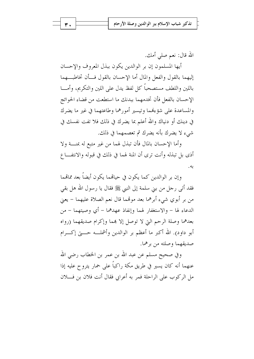الله قال: نعم صلى أمك.

أيها المسلمون إن بر الوالدين يكون ببذل المعروف والإحسان إليهما بالقول والفعل والمال أما الإحسان بالقول فسأن تخاطبهما باللين واللطف مستصحباً كل لفظ يدل على اللين والتكريم، وأمـــا الإحسان بالفعل فأن تخدمهما ببدنك ما استطعت من قضاء الحوائج والمساعدة على شؤءُهما وتيسير أمورهما وطاعتهما في غير ما يضرك في دينك أو دنياك والله أعلم بما يضرك في ذلك فلا تفت نفسك في شيء لا يضرك بأنه يضرك ثم تعصمهما في ذلك.

وأما الإحسان بالمال فأن تبذل لهما من غير متبع له بمنـــة ولا أذى بل تبذله وأنت ترى أن المنة لهما في ذلك في قبوله والانتفــاع به.

وإن بر الوالدين كما يكون في حيالهما يكون أيضاً بعد ممالهما فقد أتى رحل من بني سلمة إلى النبي ﷺ فقال يا رسول الله هل بقى من بر أبوي شيء أبرهما بعد موتَّىما قال نعم الصلاة عليهما – يعني الدعاء لها – والاستغفار لهما وإنفاذ عهدهما – أي وصيتهما – من بعدهما وصلة الرحم التي لا توصل إلا هما وإكرام صديقهما (رواه أبو داود). الله أكبر ما أعظم بر الوالدين وأشملــه حــــتي إكــــرام صديقهما وصلته من برهما.

وفي صحيح مسلم عن عبد الله بن عمر بن الخطاب رضي الله عنهما أنه كان يسير في طريق مكة راكباً على حمار يتروح عليه إذا مل الركوب على الراحلة فمر به أعرابي فقال أنت فلان بن فــــلان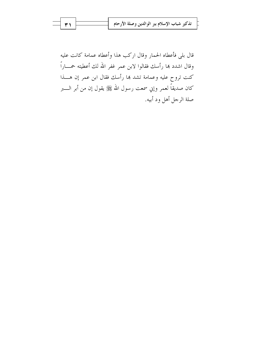قال بلي فأعطاه الحمار وقال اركب هذا وأعطاه عمامة كانت عليه وقال اشدد هما رأسك فقالوا لابن عمر غفر الله لك أعطيته حمساراً كنت تروح عليه وعمامة تشد هما رأسك فقال ابن عمر إن هــــذا كان صديقاً لعمر وإني سمعت رسول الله ﷺ يقول إن من أبر الــــبر صلة الرحل أهل ود أبيه.

۳١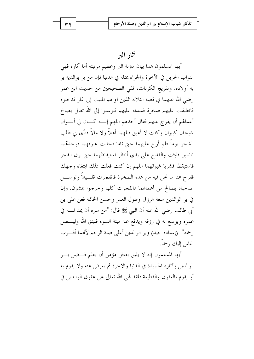آثار البر

أيها المسلمون هذا بيان متزلة البر وعظيم مرتبته أما آثاره فهي الثواب الجزيل في الآخرة والجزاء بمثله في الدنيا فإن من بر بوالديه بر به أولاده. وتفريج الكربات، ففي الصحيحين من حديث ابن عمر رضي الله عنهما في قصة الثلاثة الذين آواهم المبيت إلى غار فدخلوه فانطبقت عليهم صخرة فسدته عليهم فتوسلوا إلى الله تعالى بصالح أعمالهم أن يفرج عنهم فقال أحدهم اللهم إنــــه كــــان لي أبــــوان شيخان كبيران وكنت لا أغبق قبلهما أهلاً ولا مالاً فنأى بي طلب الشجر يوماً فلم أرح عليهما حتى ناما فحلبت غبوقهما فوجدتمما نائمين فلبثت والقدح على يدي أنتظر استيقاظهما حتى برق الفجر فاستيقظا فشربا غبوقهما اللهم إن كنت فعلت ذلك ابتغاء وجهك ففرج عنا ما نحن فيه من هذه الصخرة فانفجرت قلسيلاً وتوســـل صاحباه بصالح من أعمالهما فانفجرت كلها وخرجوا يمشون. وإن في بر الوالدين سعة الرزق وطول العمر وحسن الخاتمة فعن على بن أبي طالب رضي الله عنه أن النبي ﷺ قال: "من سره أن يمد لــــه في عمره ويوسع له في رزقه ويدفع عنه ميتة السوء فليتق الله وليـــصل رحمه". (إسناده جيد) وبر الوالدين أعلى صلة الرحم لأفمما أقـــرب الناس إلىك , حماً.

أيها المسلمون إنه لا يليق بعاقل مؤمن أن يعلم فـــضل بـــر الوالدين وآثاره الحميدة في الدنيا والآخرة ثم يعرض عنه ولا يقوم به أو يقوم بالعقوق والقطيعة فلقد فمي الله تعالى عن عقوق الوالدين في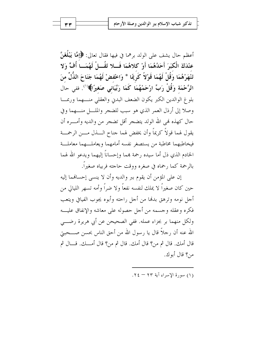أعظم حال يشف على الولد برهما في فيها فقال تعالى: ﴿إِمَّا يَبْلُغَنَّ عِنْدَكَ الْكِبَرَ أَحَدُهُمَا أَوْ كِلاهُمَا فَسِلا تَقُسِلْ لَهُمَسا أُفٍّ وَلا تَنْهَرْهُمَا وَقُلْ لَهُمَا قَوْلاً كَرِيمًا \* وَاخْفضْ لَهُمَا جَنَاحَ الذُّلِّ منَ الرَّحْمَة وَقُلْ رَبِّ ارْحَمْهُمَا كَمَا رَبَّيَاني صَغيرًا﴾(`'). ففي حال بلوغ الوالدين الكبر يكون الضعف البدين والعقلى منهما وربما وصلا إلى أرذل العمر الذي هو سبب للضجر والملسل منسهما وفي حال كهذه فمي الله الولد يتضجر أقل تضجر من والديه وأمـــره أن يقول لهما قولاً كريماً وأن يخفض لهما جناح الــــذل مــــن الرحمــــة فيخاطبهما مخاطبة من يستصغر نفسه أمامهما ويعاملهما معاملية الخادم الذي ذل أما سيده رحمة بمما وإحساناً إليهما ويدعو الله لهما بالرحمة كما رحماه في صغره ووقت حاجته فربياه صغيراً.

إن على المؤمن أن يقوم ببر والديه وأن لا ينسى إحسافهما إليه حين كان صغيراً لا يملك لنفسه نفعاً ولا ضراً وأمه تسهر الليالي من أجل نومه وترهق بدفما من أجل راحته وأبوه يجوب الفيافي ويتعب فكره وعقله وجسمه من أجل حصوله على معاشه والإنفاق عليه ولكل منهما بر بجزاء عمله. ففي الصحيحن عن أبي هريرة رضـــي الله عنه أن رحلاً قال يا رسول الله من أحق الناس بحسن صــــحبتي قال أمك. قال ثم من؟ قال أمك. قال ثم من؟ قال أمـــك. قـــال ثم من؟ قال أبوك.

(١) سورة الأسراء آية ٢٣ - ٢٤.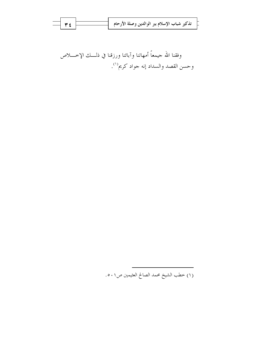| $ \forall$ $\epsilon$ | تذكير شباب الإسلام ببر الوالدين وصلة الأرحام |
|-----------------------|----------------------------------------------|
|                       |                                              |

وفقنا الله جيمعاً أمهاتنا وآبائنا ورزقنا في ذلـــك الإخــــلاص وحسن القصد والسداد إنه جواد كريم'''.

(١) خطب الشيخ محمد الصالح العثيمين ص١.٥.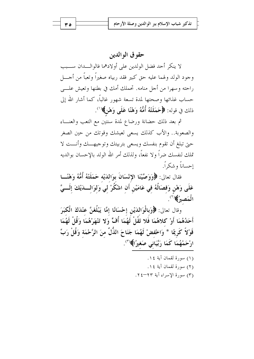## حقو ق الو الدين

لا ينكر أحد فضل الولدين على أولادهما فالوالسدان ســـبب وجود الولد ولهما عليه حق كبير فقد ربياه صغيراً وتعبأ من أجــــل راحته وسهرا من أحل منامه. تحملك أمك في بطنها وتعيش علـــي حساب غذائها وصحتها لمدة تسعة شهور غالباً، كما أشار الله إلى ذلك في قوله: ﴿حَمَلَتْهُ أُمُّهُ وَهْنًا عَلَى وَهْنٌ﴾'``.

ثم بعد ذلك حضانة ورضاع لمدة سنتين مع التعب والعنـــاء والصعوبة.. والأب كذلك يسعى لعيشك وقوتك من حين الصغر حبيّ تبلغ أن تقوم بنفسك ويسعى بتربيتك وتوجيهـــك وأنـــت لا تملك لنفسك ضراً ولا نفعاً، ولذلك أمر الله الولد بالإحسان بوالديه إحساناً و شكراً.

فقال تعالى: ﴿وَوَصَّيْنَا الاِنْسَانَ بِوَاللَّيْهِ حَمَلَتْهُ أُمُّهُ وَهْنَّــا عَلَى وَهْنِ وَفصَالُهُ في عَامَيْنِ أَنِ اشْكُرْ لي وَلِوَالِسدَيْكَ إِلَسيَّ الْمَصِيرُ﴾(``.

وقال تعالى: ﴿وَبِالْوَاللَّيْنِ إِحْسَانًا إِمَّا يَبْلُغَنَّ عِنْدَكَ الْكَبَرَ أَحَدُهُمَا أَوْ كلاهُمَا فَلا تَقُلْ لَهُمَا أُفٍّ وَلا تَنْهَرْهُمَا وَقُلْ لَهُمَا قَوْلاً كَرِيمًا \* وَاحْفضْ لَهُمَا جَنَاحَ الذُّلِّ منَ الرَّحْمَة وَقُلْ رَبِّ ارْحَمْهُمَا كَمَا رَبَّيَانِي صَغيرًا﴾(٣).

- (١) سورة لقمان آية ١٤. (٢) سورة لقمان آية ١٤.
- (٣) سورة الإسراء آية ٢٣-٢٤.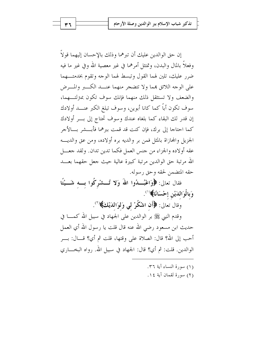إن حق الوالدين عليك أن تيرهما وذلك بالاحسان إليهما قولاً وفعلاً بالمال والبدن، وتمتثل أمرهما في غير معصية الله وفي غير ما فيه ضرر عليك، تلين لهما القول وتبسط لهما الوجه وتقوم بخدمتهما على الوجه اللائق بمما ولا تتضجر منهما عنـــد الكـــبر والمـــرض والضعف ولا تستثقل ذلك منهما فإنك سوف تكون بمترلتسهما، سوف تكون أباً كما كانا أبوين، وسوف تبلغ الكبر عنـــد أولادك إن قدر لك البقاء كما بلغاه عندك وسوف تحتاج إلى بسر أولادك كما احتاجا إلى برك، فإن كنت قد قمت ببرهما فأبسشر بسالأجر الجزيل والمحازاة بالمثل فمن بر والديه بره أولاده، ومن عق والديـــه عقه أولاده والجزاء من جنس العمل فكما تدين تدان. ولقد جعـــل الله مرتبة حق الوالدين مرتبة كبيرة عالية حيث جعل حقهما بعـــد حقه المتضمن لحقه وحق رسوله.

فقال تعالى: ﴿وَاعْبُـــدُوا اللَّهَ وَلا تُـــشْرِكُوا بِـــه شَـــيْئًا وَبِالْوَالدَيْنِ إحْسَانًا﴾(``.

وَقَالَ تَعَالَى: ﴿أَنَّ اشْكُرْ لَمِي وَلَوَاللَّهَاكَ﴾ ۚ ``

وقدم النبي ﷺ بر الوالدين على الجهاد في سبيل الله كمــــا في حديث ابن مسعود رضي الله عنه قال قلت يا رسول الله أي العمل أحب إلى الله؟ قال: الصلاة على وقتها، قلت ثم أي؟ قـــال: بــــر الوالدين. قلت: ثم أي؟ قال: الجهاد في سبيل الله. رواه البخــــاري

- (١) سورة النساء آية ٣٦.
- (٢) سورة لقمان آية ١٤.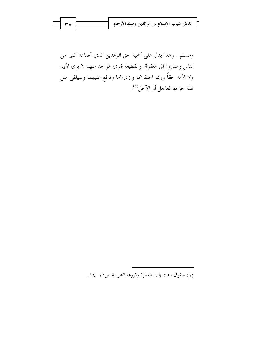| $ \mathbf{v}$ | تذكير شباب الإسلام ببر الوالدين وصلة الأرحام |
|---------------|----------------------------------------------|
|               |                                              |

ومسلم.. وهذا يدل على أهمية حق الوالدين الذي أضاعه كثير من الناس وصاروا إلى العقوق والقطيعة فترى الواحد منهم لا يرى لأبيه ولا لأمه حقاً وربما احتقرهما وازدراهما وترفع عليهما وسيلقى مثل هذا جزاءه العاجل أو الآجل''.

(١) حقوق دعت إليها الفطرة وقررتما الشريعة ص١١-١٤.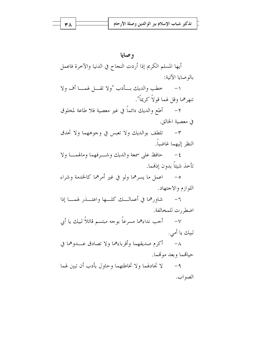أيها المسلم الكريم إذا أردت النجاح في الدنيا والآخرة فاعمل بالوصايا الآتية:

١- خطب والديك بسأدب "ولا تقـــل لهمــــا أف ولا تنهرهما وقل لهما قولاً كريماً".

٢ – أطع والديك دائماً في غير معصية فلا طاعة لمخلوق في معصية الخالق.

٣- تلطف بوالديك ولا تعبس في وجوههما ولا تحدق النظر إليهما غاضباً.

٤- حافظ على سمعة والديك وشرفهما ومالهمسا ولا تأخذ شبئاً بدون إذهمما.

٥- اعمل ما يسرهما ولو في غير أمرهما كالخدمة وشراء اللوازم والاجتهاد.

٦- شاورهما في أعمالــك كلـــها واعتــــذر لهمــــا إذا اضطر, ت للمخالفة.

٧– أحب نداءهما مسرعاً بوحه مبتسم قائلاً لبيك يا أبي لبيك يا أمي.

٨- أكرم صديقهما وأقرباءهما ولا تصادق عـــدوهما في حياتهما وبعد موتمما.

٩- لا تجادلهما ولا تخاطئهما وحاول بأدب أن تبين لهما الصو اب.

38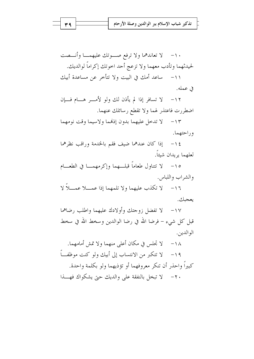١٠- لا تعاندهما ولا ترفع صوتك عليهمــا وأنـــصت لحيدثهما وتأدب معهما ولا تزعج أحد احوتك إكراماً لوالديك. ١١- ساعد أمك في البيت ولا تتأخر عن مساعدة أبيك

في عمله.

لا تسافر إذا لم يأذن لك ولو لأمـــر هـــام فـــإن  $-11$ اضطررت فاعتذر لهما ولا تقطع رسائلك عنهما.

١٣- لا تدخل عليهما بدون إذهما ولاسيما وقت نومهما و راحتهما.

١٤ - إذا كان عندهما ضيف فقم بالخدمة وراقب نظرهما لعلهما يريدان شيئاً.

١٥ – لا تتناول طعاماً قبلهما وإكرمهمــا في الطعـــام والشراب واللباس.

لا تكذب عليهما ولا تلمهما إذا عمـــلا عمـــلاً لا  $-17$ يعجبك.

لا تفضل زوجتك وأولادك عليهما واطلب رضاهما  $-\frac{1}{\sqrt{2}}$ قبل كل شيء – فرضا الله في رضا الوالدين وسخط الله في سخط الو الدين.

لا تجلس في مكان أعلى منهما ولا تمش أمامهما.  $-\lambda$ ١٩ – لا تتكبر من الانتساب إلى أبيك ولو كنت موظفً كبيراً واحذر أن تنكر معروفهما أو تؤذيهما ولو بكلمة واحدة. ٢٠ - لا تبخل بالنفقة على والديك حتى يشكواك فهـــذا

۳٩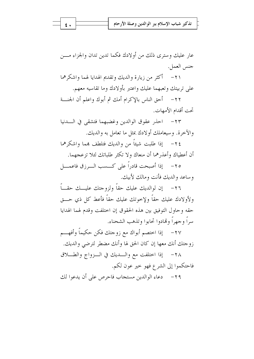عار عليك وسترى ذلك من أولادك فكما تدين تدان والجزاء مـــن جنس العمل.

٢١ – أكثر من زيارة والديك وتقديم الهدايا لهما واشكرهما على تربيتك وتعبهما عليك واعتبر بأولادك وما تقاسيه معهم.

٢٢– أحق الناس بالإكرام أمك ثم أبوك واعلم أن الجنسة تحت أقدام الأمهات.

٢٣- احذر عقوق الوالدين وغضبهما فتشقى في السدنيا والآخرة. وسيعاملك أولادك بمثل ما تعامل به والديك.

٢٤- \_ إذا طلبت شيئاً من والديك فتلطف بمما واشكرهما أن أعطياك وأعذرهما أن منعاك ولا تكثر طلباتك لئلا تزعجهما.

٢٥ – إذا أصبحت قادراً على كـــسب الــــرزق فاعمــــل وساعد والديك فأنت ومالك لأبيك.

٢٦– إن لوالديك عليك حقاً ولزوجتك عليـــك حقـــاً ولأولادك عليك حقاً ولإخوتك عليك حقاً فأعط كل ذي حـــق حقه وحاول التوفيق بين هذه الحقوق إن اختلفت وقدم لهما الهدايا سرأ وجهرأ وقمادوا تحابوا وتذهب الشحناء.

إذا اختصم أبواك مع زوجتك فكن حكيماً وأفهـــم  $-\gamma\gamma$ زوجتك أنك معها إن كان الحق لها وأنك مضطر لترضى والديك.

٢٨- إذا اختلفت مع والسديك في الـزواج والطـــلاق فاحتكموا إلى الشرع فهو حير عون لكم.

٢٩- دعاء الوالدين مستجاب فاحرص على أن يدعوا لك

بع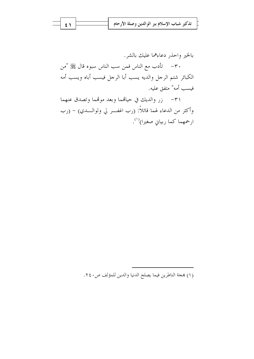|  | ]    تذكير شباب الإسلام ببر الوالدين وصلة الأرحام |
|--|---------------------------------------------------|
|  |                                                   |
|  |                                                   |

بالخير واحذر دعاءهما عليك بالشر. ٣٠ – تأدب مع الناس فمن سب الناس سبوه قال ﷺ "من الكبائر شتم الرحل والديه يسب أبا الرحل فيسب أباه ويسب أمه فيسب أمه" متفق عليه.

٣١- زر والديك في حياقما وبعد موقما وتصدق عنهما وأكثر من الدعاء لهما قائلاً: (رب اغفـــر لي ولوالــــدي) – (رب ارحمهما كما ربياني صغيرا)<sup>(١)</sup>.

(١) هجة الناطرين فيما يصلح الدنيا والدين للمؤلف ص٢٤٠.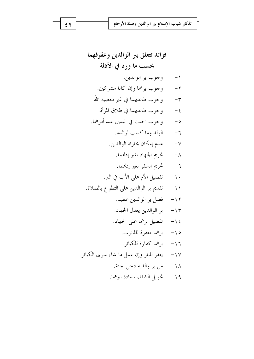$\epsilon$   $\tau$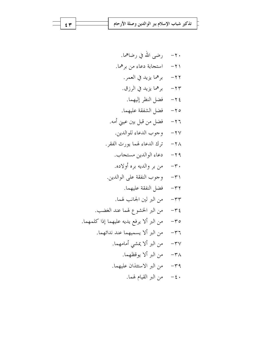7 - 
$$
cos\theta
$$
 (b)  $cos\theta$   
\n7 -  $cos\theta$  (d)  $sin\theta$   
\n8 -  $cos\theta$  (e)  $cos\theta$   
\n9 -  $cos\theta$  (f)  $cos\theta$   
\n17 -  $cos\theta$  (g)  $cos\theta$   
\n17 -  $cos\theta$  (h)  $cos\theta$   
\n18 -  $cos\theta$  (j)  $cos\theta$   
\n29 -  $cos\theta$  (l)  $cos\theta$   
\n30 -  $cos\theta$   
\n41 -  $cos\theta$  (l)  $cos\theta$   
\n52 -  $cos\theta$  (l)  $cos\theta$   
\n18 -  $cos\theta$  (l)  $cos\theta$   
\n29 -  $cos\theta$  (l)  $cos\theta$   
\n20 -  $cos\theta$  (l)  $cos\theta$   
\n21 -  $cos\theta$  (l)  $cos\theta$   
\n22 -  $cos\theta$  (l)  $cos\theta$   
\n33 -  $cos\theta$   
\n34 -  $cos\theta$   
\n35 -  $cos\theta$   
\n36 -  $cos\theta$   
\n37 -  $cos\theta$   
\n38 -  $cos\theta$   
\n39 -  $cos\theta$   
\n30 -  $cos\theta$   
\n31 -  $cos\theta$   
\n32 -  $cos\theta$   
\n33 -  $cos\theta$   
\n34 -  $cos\theta$   
\n35 -  $cos\theta$   
\n36 -  $cos\theta$   
\n37 -  $cos\theta$   
\n38 -  $cos\theta$   
\n39 -  $cos\theta$   
\n30 -  $cos\theta$   
\n30 -  $cos\theta$   
\n31 -  $cos\theta$   
\n32 -  $cos\theta$   
\n33 -  $cos\theta$   
\n34 -  $cos\theta$   
\n35 - <

 $\epsilon$   $\tau$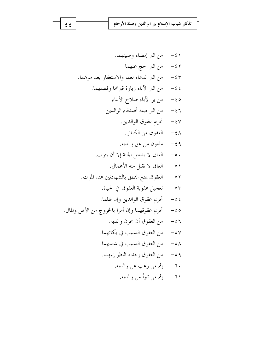$\epsilon$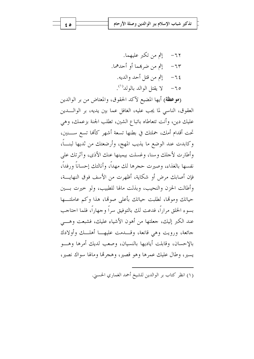(موعظة) أيها المضيع لآكد الحقوق، والمعتاض من بر الوالدين العقوق، الناسي لما يجب عليه، الغافل عما بين يديه، بر الوالــدين عليك دين، وأنت تتعاطاه باتباع الشين، تطلب الجنة بزعمك، وهي تحت أقدام أمك، حملتك في بطنها تسعة أشهر كألها تسع ســــنين، وكابدت عند الوضع ما يذيب المهج، وأرضعتك من ثديها لبنـــاً، وأطارت لأحلك وسنا، وغسلت بيمينها عنك الأذى، وآثرتك على نفسها بالغذاء، وصيرت حجرها لك مهداً، وأنالتك إحساناً ورفداً، فإن أصابك مرض أو شكاية، أظهرت من الأسف فوق النهايـــة، وأطالت الحزن والنحيب، وبذلت مالها للطبيب، ولو حيرت بسين حياتك وموقما، لطلبت حياتك بأعلى صوقما، هذا وكم عاملتها بسوء الخلق مراراً، فدعت لك بالتوفيق سراً وجهاراً، فلما احتاجب عند الكبر إليك، جعلتها من أهون الأشياء عليك، فشبعت وهـــي جائعة، ورويت وهي قانعة، وقـــدمت عليهـــا أهلـــك وأولادك بالإحسان، وقابلت أياديها بالنسيان، وصعب لديك أمرها وهسو يسير، وطال عليك عمرها وهو قصير، وهجرها ومالها سواك نصير،

(١) انظر كتاب بر الوالدين للشيخ أحمد الغماري الحسين.

ه ٤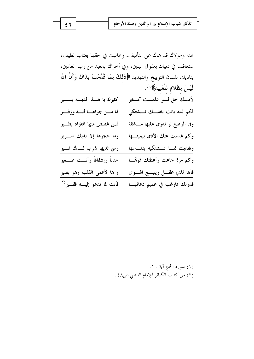هذا ومولاك قد نهاك عن التأفيف، وعاتبك في حقها بعتاب لطيف، ستعاقب في دنياك بعقوق البنين، وفي أخراك بالعبد من رب العالمين، يناديك بلسان التوبيخ والتهديد ﴿ذَلكَ بِمَا قَدَّمَتْ يَدَاكَ وَأَنَّ اللَّهَ لَيْسَ بِظَلامِ لِلْعَبِيدِ﴾(').

| كثيرك يا هــــذا لديــــه يــــسير     | لأمسك حق لـــو علمـــت كـــثير  |
|----------------------------------------|---------------------------------|
| لها مــــن جواهــــا أنــــة وزفــــير | فكم ليلة باتت بثقلــك تــــشتكي |
| فمن غصص منها الفؤاد يطــــير           | وفي الوضع لو تدري عليها مـــشقة |
| وما حجرها إلا لديك ســـرير             | وكم غسلت عنك الأذى بيمينــــها  |
|                                        |                                 |
| ومن ثديها شرب لـــدك نمـــير           | وتفديك ممسا تسشتكيه بنفسسها     |
| حناناً وإشفافاً وأنـــت صـــغير        | وكم مرة جاعت وأعطتك قوقمسا      |
| وآها لأعمى القلب وهو بصير              | فآها لذي عقسل ويتبسع الهسوى     |

(١) سورة الحج آية ١٠. (٢) من كتاب الكبائر للإمام الذهبي ص٤٨.

 $\epsilon$  ٦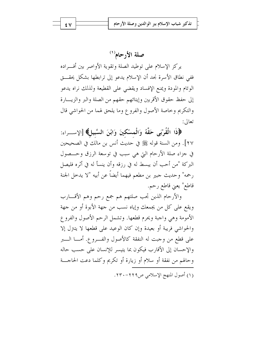صلة الأرحام'''

يركز الإسلام على توطيد الصلة وتقوية الأواصر بين أفـــراده ففي نطاق الأسرة نجد أن الإسلام يدعو إلى ترابطها بشكل يحقـــق الوئام والمودة ويمنع الإفساد ويقضى على القطيعة ولذلك نراه يدعو إلى حفظ حقوق الأقربين وإيتائهم حقهم من الصلة والبر والزيـــارة والتكريم وحاصة الأصول والفروع وما يلحق لهما من الحواشي قال تعالى:

﴿ذَا الْقُرْبَى حَقَّهُ وَالْمسْكِينَ وَابْنَ السَّبِيلِ﴾ [الإســـراء: ٢٧]. ومن السنة قوله ﷺ في حديث أنس بن مالك في الصحيحين في جزاء صلة الأرحام التي هي سبب في توسعة الرزق وحــصول البركة "من أحب أن يبسط له في رزقه وأن ينسأ له في أثره فليصل رحمه" وحديث جبير بن مطعم فيهما أيضاً عن أبيه "لا يدحل الجنة قاطع" يعني قاطع رحم.

والأرحام الذين تحب صلتهم هم جمع رحم وهم الأقسارب ويقع على كلِّ من يجمعك وإياه نسب من جهة الأبوة أو من جهة الأمومة وهي واجبة ويحرم قطعها. وتشمل الرحم الأصول والفروع والحواشي فريبة أو بعيدة وإن كان الوعيد على قطعها لا يتتزل إلا على قطع من وجبت له النفقة كالأصول والفـــروع. أمـــا الــــبر والإحسان إلى الأقارب فيكون بما يتيسر للإنسان على حسب حاله وحالهم من نفقة أو سلام أو زيارة أو تكريم وكلما دعت الحاجـــة (١) أصول المنهج الإسلامي ص٢٢٩-٢٣٠.

٤V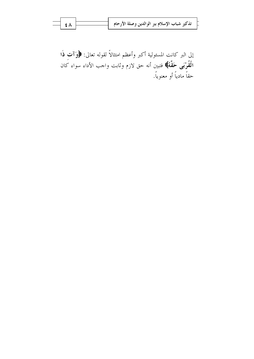|  |  | تذكير شباب الإسلام ببر الوالدين وصلة الأرحام |  |  |  |  |
|--|--|----------------------------------------------|--|--|--|--|
|--|--|----------------------------------------------|--|--|--|--|

إلى البر كانت المسئولية أكبر وأعظم امتثالاً لقوله تعالى: ﴿وَٱت ذَا **الْقُرْبَى حَقَّهُ﴾ ف**تبين أنه حق لازم وثابت واجب الأداء سواء كان حقاً مادياً أو معنوياً.

 $\sharp \wedge$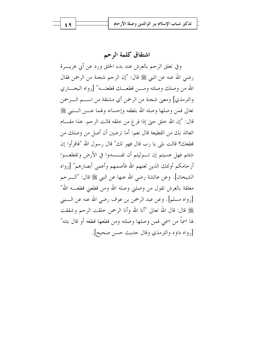# اشتقاق كلمة الرحم

 $69$ 

وفي تعلق الرحم بالعرش عند بدء الخلق ورد عن أبي هريــــرة رضي الله عنه عن النبي ﷺ قال: "إن الرحم شجنة من الرحمن فقال الله من وصلك وصلته ومسن قطعــك قطعتــه" [رواه البخـــاري والترمذي] ومعنى شجنة من الرحمن أي مشتقة من اســـم الــــرحمن تعالى فمن وصلها وصله الله بلطفه وإحسانه ولهما عـــن الـــنبي ﷺ قال: "إن الله حلق حتى إذا فرغ من خلقه قالت الرحم. هذا مقــــام العائذ بك من القطيعة قال نعم: أما ترضين أن أصل من وصلك من قطعك؟ قالت بلي يا رب قال فهو لك" قال رسول الله "فاقرأوا إن شئتم فهل عسيتم إن تـــوليتم أن تفـــسدوا في الأرض وتقطعـــوا أر حامكم أولئك الذين لعنهم الله فأصمهم وأعمى أبصارهم" [رواه الشيخان]. وعن عائشة رضي الله عنها عن النبي ﷺ قال: "الـــرحم معلقة بالعرش تقول من وصلني وصله الله ومن قطعني قطعـــه الله" [رواه مسلم]. وعن عبد الرحمن بن عوف رضي الله عنه عن السنبي عَلِيُّ قال: قال الله تعالى "أنا الله وأنا الرحمن حلقت الرحم وشققت لها اسماً من اسمى فمن وصلها وصلته ومن قطعها قطعه أو قال بتته" [, واه داود والترمذي وقال حديث حسن صحيح].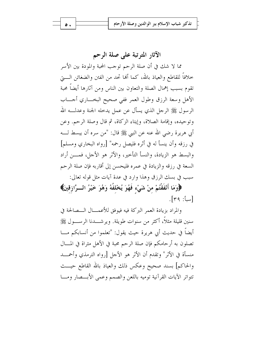### الآثار المترتبة على صلة الرحم

مما لا شك في أن صلة الرحم توجب المحبة والمودة بين الأسر خلافاً للقاطع والعياذ بالله، كما ألها تحد من الفتن والضغائن الــــــق تقوم بسبب إهمال الصلة والتعاون بين الناس ومن آثارها أيضاً محبة الأهل وسعة الرزق وطول العمر ففي صحيح البخساري أجساب الرسول ﷺ الرحل الذي يسأل عن عمل يدحله الجنة وعدلـــه الله وتوحيده، وإقامة الصلاة، وإيتاء الزكاة، ثم قال وصلة الرحم. وعن أبي هريرة رضي الله عنه عن النبي ﷺ قال: "من سره أن يبسط لـــه في رزقه وأن ينسأ له في أثره فليصل رحمه" [رواه البخاري ومسلم] والبسط هو الزيادة، والنسأ التأخير، والأثر هو الأحل، فمـــن أراد السعة في رزقه والزيادة في عمره فليحسن إلى أقاربه فإن صلة الرحم سبب في بسك الرزق وهذا وارد في عدة آيات مثل قوله تعالى:

﴿وَمَا أَنْفَقْتُمْ منْ شَيْء فَهُوَ يُخْلَفُهُ وَهُوَ خَيْرُ الــرَّازقينَ﴾  $\lceil r \cdot r \cdot \cdot \rceil$ 

والمراد بزيادة العمر البركة فيه فيوفق للأعمـــال الـــصالحة في سنين قليلة مثلاً، أكثر من سنوات طويلة. ويرشــــدنا الرســــول ﷺ أيضاً في حديث أبي هريرة حيث يقول: "تعلموا من أنسابكم مـــا تصلون به أر حامكم فإن صلة الرحم محبة في الأهل مثراة في المـــال منسأة في الأثر" وتقدم أن الأثر هو الأجل [رواه الترمذي وأحمسد والحاكم] بسند صحيح وعكس ذلك والعياذ بالله القاطع حيست تتواتر الآيات القرآنية توميه باللعن والصمم وعمى الأبسصار ومسا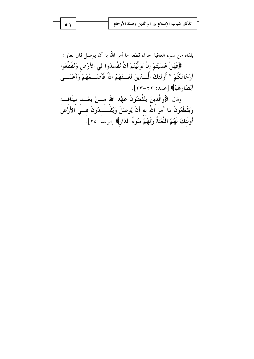| ۱ ه [ | تذكير شباب الإسلام ببر الوالدين وصلة الأرحام |
|-------|----------------------------------------------|
|       |                                              |
|       |                                              |

يلقاه من سوءِ العاقبة جزاء قطعه ما أمر الله به أن يوصل قال تعالى: ﴿فَهَلْ عَسَيْتُمْ إِنْ تَوَلَّيْتُمْ أَنْ تُفْسلُوا في الأَرْضِ وَتُقَطِّعُوا أَرْحَامَكُمْ \* أُولَئكَ الَّـــٰذينَ لَعَـــنَهُمُ اللَّهُ فَأَصَـــمَّهُمْ وَأَعْمَـــى أَبْصَارَهُمْ﴾ [محمد: ٢٢-٢٣]. وقال: ﴿وَالَّذِينَ يَنْقُضُونَ عَهْدَ الله مـــنْ بَعْـــد ميثَاقـــه وَيَقْطَعُونَ مَا أَمَرَ اللَّهُ به أَنْ يُوصَلَ وَيُفْــسدُونَ فـــي الأَرْضِ أُولَئكَ لَهُمُ اللَّعْنَةُ وَلَهُمْ سُوءُ الدَّارِ﴾ [الرعد: ٢٥].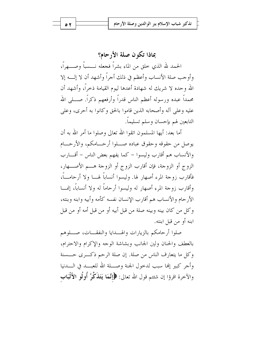بماذا تكون صلة الأرحام؟ الحمد لله الذي حلق من الماء بشراً فجعله نـــسباً وصـــهراً، وأوجب صلة الأنساب وأعظم في ذلك أجراً وأشهد أن لا إلـــه إلا الله وحده لا شريك له شهادة أعدها ليوم القيامة ذحراً، وأشهد أن محمداً عبده ورسوله أعظم الناس قدراً وأرفعهم ذكراً. صــــلى الله عليه وعلى آله وأصحابه الذين قاموا بالحق وكانوا به أحرى، وعلى التابعين لهم بإحسان وسلم تسليماً.

أما بعد: أيها المسلمون اتقوا الله تعالى وصلوا ما أمر الله به أن يوصل من حقوقه وحقوق عباده صـــلوا أرحـــامكم، والأرحـــام والأنساب هم أقارب وليسوا – كما يفهم بعض الناس – أقــــارب الزوج أو الزوجة، فإن أقارب الزوج أو الزوجة هـــم الأصــــهار، فأقارب زوجة المرء أصهار لها. وليسوا أنساباً لهـــا ولا أرحامـــاً، وأقارب زوجة المرء أصهار له وليسوا أرحاماً له ولا أنساباً، إنمـــا الأرحام والأنساب هم أقارب الإنسان نفسه كأمه وأبيه وابنه وبنته، وكل من كان بينه وبينه صلة من قبل أبيه أو من قبل أمه أو من قبل ابنه أو من قبل ابنته.

صلوا أرحامكم بالزيارات والهسدايا والنفقسات، صسلوهم بالعطف والحنان ولين الجانب وبشاشة الوجه والإكرام والاحترام، وكل ما يتعارف الناس من صلة. إن صلة الرحم ذكـرى حـــسنة وأجر كبير إلها سبب لدحول الجنة وصلة الله للعبـــد في الــــدنيا والآخرة اقرؤا إن شئتم قول الله تعالى: ﴿إِنَّمَا يَتَذَكَّرُ أُولُو الأَلْبَابِ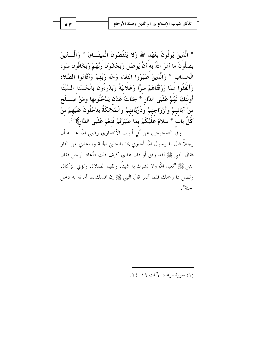\* الَّذِينَ يُوفُونَ بِعَهْدِ اللهِ وَلا يَنْقُضُونَ الْمِيثَــاقَ \* وَالَّـــذِينَ يَصلُونَ مَا أَمَرَ اللهُ به أَنْ يُوصَلَ وَيَخْشَوْنَ رَبَّهُمْ وَيَخَافُونَ سُوءَ الْحسَاب \* وَالَّذينَ صَبَرُوا ابْتغَاءَ وَجْه رَبِّهِمْ وَأَقَامُوا الصَّلاةَ وَأَنْفَقُوا ممَّا رَزَقْنَاهُمْ سرًّا وَعَلانيَةً وَيَدْرَءُونَ بِالْحَسَنَة السَّيِّئَةَ أُولَئكَ لَهُمْ عُقْبَى الدَّارِ \* جَنَّاتُ عَدْن يَدْخُلُونَهَا وَمَنْ صَــلَحَ منْ آبَائهمْ وَأَزْوَاجهمْ وَذُرِّيَّاتهمْ وَالْمَلَائكَةُ يَدْخُلُونَ عَلَيْهِمْ منْ كُلِّ بَاب \* سَلامٌ عَلَيْكُمْ بِمَا صَبَرْتُمْ فَنعْمَ عُقْبَى الدَّارِ﴾ ('').

وفي الصحيحين عن أبي أيوب الأنصاري رضى الله عنــــه أن رحلاً قال يا رسول الله أخبرني بما يدخلني الجنة ويباعدني من النار فقال النبي ﷺ لقد وفق أو قال هدي كيف قلت فأعاد الرحل فقال النبي ﷺ "تعبد الله ولا تشرك به شيئاً، وتقيم الصلاة، وتؤتي الزكاة، وتصل ذا رحمك فلما أدبر قال النبي ﷺ إن تمسك بما أمرته به دحل الجنة".

(١) سورة الرعد: الآيات ١٩-٢٤.

۲ ه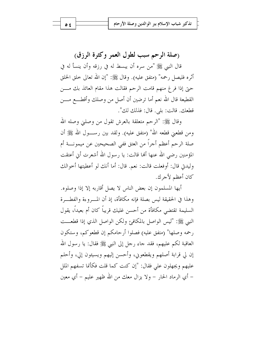(صلة الرحم سبب لطول العمر وكثرة الرزق)

قال النبي ﷺ "من سره أن يبسط له في رزقه وأن ينسأ له في أثره فليصل رحمه" (متفق عليه). وقال ﷺ: "إن الله تعالى خلق الخلق حتى إذا فرغ منهم قامت الرحم فقالت هذا مقام العائذ بك مـــن القطيعة قال الله نعم أما ترضين أن أصل من وصلك وأقطـــع مــــن قطعك. قالت: بلي. قال: فذلك لك".

وقال ﷺ: "الرحم متعلقة بالعرش تقول من وصلني وصله الله ومن قطعين قطعه الله" (متفق عليه). ولقد بين رســــول الله ﷺ أن صلة الرحم أعظم أجراً من العتق ففي الصحيحين عن ميمونــــة أم المؤمنين رضي الله عنها ألها قالت: يا رسول الله أشعرت أين أعتقت وليدني قال: أوفعلت قالت: نعم. قال: أما أنك لو أعطيتها أخوالك كان أعظم لأجرك.

أيها المسلمون إن بعض الناس لا يصل أقاربه إلا إذا وصلوه. وهذا في الحقيقة ليس بصلة فإنه مكافأة، إذ أن المسروءة والفطسرة السليمة تقتضي مكافأة من أحسن غليك قريباً كان أم بعيداً، يقول النبي ﷺ: "ليس الواصل بالمكافئ ولكن الواصل الذي إذا قطعـــت رحمه وصلها" (متفق عليه) فصلوا أرحامكم إن قطعوكم، وستكون العاقبة لكم عليهم، فقد حاء رحل إلى النبي ﷺ فقال: يا رسول الله إن لي قرابة أصلهم ويقطعوني، وأحسن إليهم ويسيئون إلى، وأحلم عليهم ويجهلون على فقال: "إن كنت كما قلت فكأنما تسفهم الملل – أي الرماد الحار – ولا يزال معك من الله ظهير عليم – أي معين

 $\circ$  {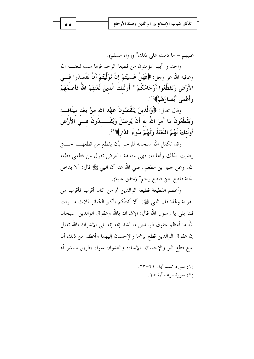عليهم – ما دمت على ذلك" (رواه مسلم). واحذروا أيها المؤمنون من قطيعة الرحم فإلها سب للعنــــة الله وعاقبه الله عز وحل: ﴿فَهَلْ عَسَيْتُمْ إِنْ تَوَلَّيْتُمْ أَنْ تُفْسِدُوا فِسَى الأَرْضِ وَتُقَطِّعُوا أَرْحَامَكُمْ \* أُولَئكَ الَّذينَ لَعَنَهُمُ اللَّهُ فَأَصَمَّهُمْ وَأَعْمَى أَبْصَارَهُمْ﴾ (').

وقال تعالى: ﴿وَالَّذِينَ يَنْقُضُونَ عَهْدَ الله منْ بَعْد ميثَاقَـــه وَيَقْطَعُونَ مَا أَمَرَ اللهُ به أَنْ يُوصَلَ وَيُفْــسدُونَ فـــي الأَرْض أُولَئِكَ لَهُمُ اللَّعْنَةُ وَلَهُمْ سُوءُ الدَّارِ ﴾ (<sup>٢)</sup>.

وقد تكفل الله سبحانه للرحم بأن يقطع من قطعهــــا حــــتى رضيت بذلك وأعلنته، فهي متعلقة بالعرض تقول من قطعني قطعه الله. وعن جبير بن مطعم رضي الله عنه أن النبي ﷺ قال: "لا يدخل الجنة قاطع بعني قاطع رحم" (متفق عليه).

وأعظم القطيعة قطيعة الوالدين ثم من كان أقرب فأقرب من القرابة ولهذا قال النبي ﷺ: "ألا أنبئكم بأكبر الكبائر ثلاث مـــرات قلنا بلي يا رسول الله قال: الإشراك بالله وعقوق الوالدين" سبحان الله ما أعظم عقوق الوالدين ما أشد إثمه إنه يلي الإشراك بالله تعالى إن عقوق الوالدين قطع برهما والإحسان إليهما وأعظم من ذلك أن يتبع قطع البر والإحسان بالإساءة والعدوان سواء بطريق مباشر أم

- (١) سورة محمد آية: ٢٢-٢٣.
	- (٢) سورة الرعد آية ٢٥.

ه ه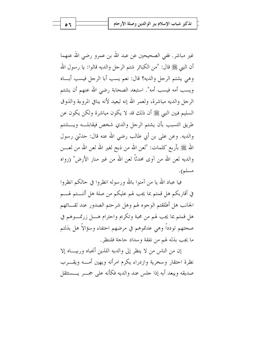غير مباشر. ففي الصحيحين عن عبد الله بن عمرو رضي الله عنهما أن النبي ﷺ قال: "من الكبائر شتم الرجل والديه قالوا: يا رسول الله وهي يشتم الرجل والديه؟ قال: نعم يسب أبا الرجل فيسب أبساه ويسب أمه فيسب أمه". استبعد الصحابة رضي الله عنهم أن يشتم الرجل والديه مباشرة، ولعمر الله إنه لبعيد لأنه ينافى المروءة والذوق السليم فبين النبي ﷺ أن ذلك قد لا يكون مباشرة ولكن يكون عن طريق التسبب بأن يشتم الرحل والدي شخص فيقابلـــه ويـــشتم والديه. وعن علي بن أبي طالب رضي الله عنه قال: حدثني رسول الله ﷺ بأربع كلمات: "لعن الله من ذبح لغير الله لعن الله من لعـــــن والديه لعن الله من آوى محدثاً لعن الله من غير منار الأرض" (رواه مسلم).

فيا عباد الله يا من آمنوا بالله ورسوله انظروا في حالكم انظروا في أقاربكم هل قمتم بما يجب لهم عليكم من صلة هل ألنــــتم لهــــم الجانب هل أطلقتم الوجوه لهم وهل شرحتم الصدور عند لقـــائهم هل قمتم بما يجب لهم من محبة وتكريم واحترام هــــل زرتمــــوهم في صحتهم تودداً وهي عدتموهم في مرضهم احتفاء وسؤالاً هل بذلتم ما يجب بذله لهم من نفقة وسداد حاجة فلننظر.

إن من الناس من لا ينظر إلى والديه اللذين أنجباه وربيساه إلا نظرة احتقار وسخرية وازدراء يكرم امرأته ويهين أمـــه ويقـــرب صديقه ويبعد أبه إذا جلس عند والديه فكأنه على جمسر يسستثقل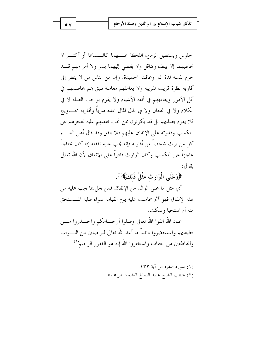الجلوس ويستطيل الزمن، اللحظة عنـــهما كالـــساعة أو أكثـــر لا يخاطبهما إلا ببطء وتثاقل ولا يفضى إليهما بسر ولا أمر مهم قـــد حرم نفسه لذة البر وعاقبته الحميدة. وإن من الناس من لا ينظر إلى أقاربه نظرة قريب لقريبه ولا يعاملهم معاملة تليق بمم يخاصمهم في أقل الأمور ويعاديهم في أتفه الأشياء ولا يقوم بواحب الصلة لا في الكلام ولا في الفعال ولا في بذل المال تجده مثرياً وأقاربه محساويج فلا يقوم بصلتهم بل قد يكونون ممن تجب نفقتهم عليه لعجزهم عن التكسب وقدرته على الإنفاق عليهم فلا ينفق وقد قال أهل العلم كل من يرث شخصاً من أقاربه فإنه تجب عليه نفقته إذا كان محتاجاً عاجزاً عن التكسب وكان الوارث قادراً على الإنفاق لأن الله تعالى يقول:

# ﴿وَعَلَى الْوَارِثِ مِثْلُ ذَلِكَ﴾ ``.

أي مثل ما على الوالد من الإنفاق فمن بخل بما يجب عليه من هذا الإنفاق فهو آثم محاسب عليه يوم القيامة سواء طلبه المسستحق منه أم استحيا و سكت.

عباد الله اتقوا الله تعالى وصلوا أرحـــامكم واحـــذروا مـــن قطيعتهم واستحضروا دائماً ما أعد الله تعالى للواصلين من الثــواب وللقاطعين من العقاب واستغفروا الله إنه هو الغفور الرحيم``.

> (١) سورة البقرة من آية ٢٣٣. (٢) خطب الشيخ محمد الصالح العثيمين ص٥٠٥.

 $\circ$   $\vee$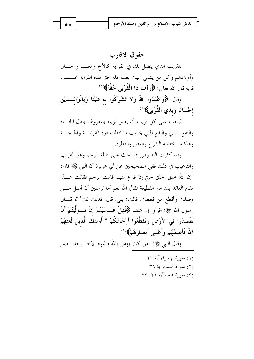# حقوق الأقارب

للقريب الذي يتصل بك في القرابة كالأخ والعـــم والخـــال وأولادهم وكل من ينتمي إليك بصلة فله حق هذه القرابة بحـــسب قربه قال الله تعالى: ﴿وَآتِ ذَا الْقُوْبَى حَقَّهُ﴾(``.

وقال: ﴿وَاعْبُدُوا اللَّهَ وَلا تُشْرِكُوا به شَيْئًا وَبِالْوَالِّــدَيْنِ إحْسَانًا وَبِذِي الْقُرْبَيِ﴾(``.

فيجب على كل قريب أن يصل قريبه بالمعروف ببذل الجساه والنفع البدني والنفع المالي بحسب ما تتطلبه قوة القرابسة والحاجسة وهذا ما يقتضيه الشرع والعقل والفطرة.

وقد كثرت النصوص في الحث على صلة الرحم وهو القريب والترغيب في ذلك ففي الصحيحين عن أبي هريرة أن النبي ﷺ قال: "إن الله حلق الخلق حتى إذا فرغ منهم قامت الرحم فقالت هــــذا مقام العائذ بك من القطيعة فقال الله نعم أما ترضين أن أصل مــــن وصلك وأقطع من قطعك. قالت: بلي. قال: فذلك لك" ثم قــال رسول الله ﷺ: اقرأوا إن شئتم ﴿فَهَلْ عَــسَيْتُمْ إِنْ تَــوَلَّيْتُمْ أَنْ تُفْسدُوا في الأَرْضِ وَتُقَطِّعُوا أَرْحَامَكُمْ \* أُولَئكَ الَّذينَ لَعَنَهُمُ اللَّهُ فَأَصَمَّهُمْ وَأَعْمَى أَبْصَارَهُمْ﴾( ؓ).

وقال النبي ﷺ: "من كان يؤمن بالله واليوم الآخــــر فليــــصل

(١) سورة الإسراء آية ٢٦. (٢) سورة النساء آية ٣٦. (٣) سورة محمد آية ٢٢-٢٣.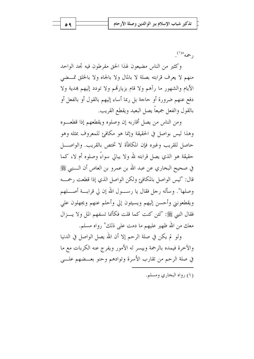$(1)^{11}$ do,

وكثير من الناس مضيعون لهذا الحق مفرطون فيه تجد الواحد منهم لا يعرف قرابته بصلة لا بالمال ولا بالجاه ولا بالخلق تمسضي الأيام والشهور ما رآهم ولا قام بزيارتهم ولا تودد إليهم بمدية ولا دفع عنهم ضرورة أو حاجة بل ربما أساء إليهم بالقول أو بالفعل أو بالقول والفعل جميعاً يصل البعيد ويقطع القريب.

ومن الناس من يصل أقاربه إن وصلوه ويقطعهم إذا قطعــوه وهذا ليس بواصل في الحقيقة وإنما هو مكافئ للمعروف بمثله وهو حاصل للقريب وغيره فإن المكافأة لا تختص بالقريب. والواصــــل حقيقة هو الذي يصل قرابته لله ولا يبالي سواءَ وصلوه أم لا، كما في صحيح البخاري عن عبد الله بن عمرو بن العاص أن الــــنبي ﷺ قال: "ليس الواصل بالمكافئ ولكن الواصل الذي إذا قطعت رحمسه وصلها". وسأله رجل فقال يا رســـول الله إن لي قرابـــة أصــــلهم ويقطعونني وأحسن إليهم ويسيئون إلى وأحلم عنهم ويجهلون على فقال النبي ﷺ: "لئن كنت كما قلت فكأنما تسفهم المل ولا يسزال معك من الله ظهير عليهم ما دمت علي ذلك" رواه مسلم.

ولو لم يكن في صلة الرحم إلا أن الله يصل الواصل في الدنيا والآخرة فيمده بالرحمة وييسر له الأمور ويفرج عنه الكربات مع ما في صلة الرحم من تقارب الأسرة وتوادهم وحنو بعــضهم علـــي

(۱) رواه البخاري ومسلم.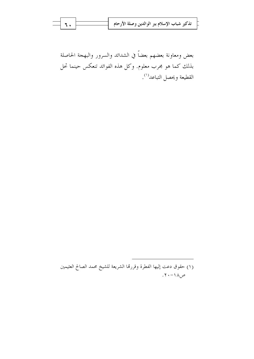| تذكير شباب الإسلام ببر الوالدين وصلة الأرحام ل |  |  |
|------------------------------------------------|--|--|
|                                                |  |  |

بعض ومعاونة بعضهم بعضاً في الشدائد والسرور والبهجة الحاصلة بذلك كما هو مجرب معلوم. وكل هذه الفوائد تنعكس حينما تحل القطيعة ويحصل التباعد<sup>(١)</sup>.

٦.

<sup>(</sup>١) حقوق دعت إليها الفطرة وقررتما الشريعة للشيخ محمد الصالح العثيمين  $.7 - 11$ ص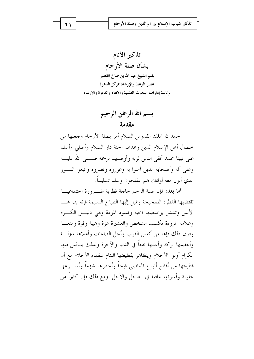تذكير الأنام بشأن صلة الأرحام بقلم الشيخ عبد الله بن صالح القصير عضو الوعظ والإرشاد بمركز الدعوة برئاسة إدارات البحوث العلمية والإفتاء والدعوة والإرشاد

> بسم الله الرحمن الرحيم مقدمة

الحمد لله الملك القدوس السلام أمر بصلة الأرحام وجعلها من خصال أهل الإسلام الذين وعدهم الجنة دار السلام وأصلى وأسلم على نبينا محمد أتقى الناس لربه وأوصلهم لرحمه صــــلى الله عليــــه وعلى آله وأصحابه الذين آمنوا به وعزروه ونصروه واتبعوا النسور الذي أنزل معه أولئك هم المفلحون وسلم تسليماً.

أ**ما بعد**: فإن صلة الرحم حاجة فطرية ضـــرورة احتماعيـــة تقتضيها الفطرة الصحيحة وتميل إليها الطباع السليمة فإنه يتم هما الأنس وتنتشر بواسطتها المحبة وتسود المودة وهي دليـــل الكـــرم وعلامة المروءة تكسب الشخص والعشيرة عزة وهيبة وقوة ومنعسة وفوق ذلك فإنها من أنفس القرب وأجل الطاعات وأعلاها مترلسة وأعظمها بركة وأعمها نفعاً في الدنيا والآخرة ولذلك يتنافس فيها الكرام أولوا الأحلام ويتظاهر بقطيعتها اللئام سفهاء الأحلام مع أن قطيعتها من أفظع أنواع المعاصي قبحاً وأخطرها شؤماً وأســـرعها عقوبة وأسوئها عاقبة في العاجل والآحل. ومع ذلك فإن كثيراً من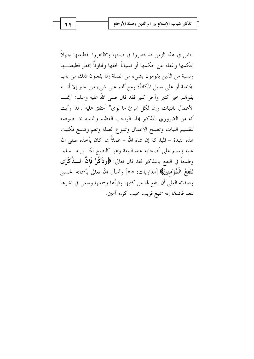الناس في هذا الزمن قد قصروا في صلتها وتظاهروا بقطيعتها جهلاً بحكمها وغفلة عن حكمها أو نسياناً لحقها وقماوناً بخطر قطيعتـــها ونسبة من الذين يقومون بشيء من الصلة إنما يفعلون ذلك من باب المجاملة أو على سبيل المكافأة ومع ألهم على شيء من الخير إلا أنــــه يفوقمم حير كثير وأجر كبير فقد قال صلى الله عليه وسلم: "إنمـــا الأعمال بالنيات وإنما لكل امرئ ما نوى" [متفق عليه]. لذا رأيت أنه من الضروري التذكير بمذا الواحب العظيم والتنبيه بخــصوصه لتقسيم النيات وتصلح الأعمال وتتنوع الصلة وتعم وتتسع فكتبت هذه النبذة – المباركة إن شاءِ الله – عملاً بما كان يأخذه صلى الله عليه وسلم على أصحابه عند البيعة وهو "النصح لكـــل مــــسلم" وطمعاً في النفع بالتذكير فقد قال تعالى: ﴿وَذَكَّوْ ۚ فَإِنَّ الْمَسْلِّكُورَى تَنْفَعُ الْمُؤْمِنينَ﴾ [الذاريات: ٥٥] وأسأل الله تعالى بأسمائه الحسني وصفاته العلى أن ينفع لها من كتبها وقرأها وسمعها وسعى في نشرها لتعم فائدتها إنه سميع قريب مجيب كريم آمين.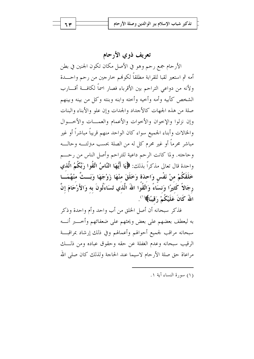تعريف ذوي الأرحام

الأرحام جمع رحم وهو في الأصل مكان تكون الجنين في بطن أمه ثم استعير لقبا للقرابة مطلقاً لكوفمم خارجين من رحم واحـــدة ولأنه من دواعي التراحم بين الأقرباء فصار اسماً لكافسة أقسارب الشخص كأبيه وأمه وأخيه وأخته وابنه وبنته وكل من بينه وبينهم صلة من هذه الجهات كالأجداد والجدات وإن علو والأبناء والبنات وإن نزلوا والإحوان والأحوات والأعمام والعمسات والأخسوال والخالات وأبناء الجميع سواء كان الواحد منهم قريباً مباشراً أو غير مباشر محرماً أو غير محرم كل له من الصلة بحسب متزلتــه وحالــه وحاجته. ولما كانت الرحم داعية للتراحم وأصل الناس من رحـــم واحدة قال تعالى مذكراً بذلك: ﴿ لَمَّا أَيُّهَا النَّاسُ اتَّقُوا رَبَّكُمُ الَّذِي خَلَقَكُمْ منْ نَفْسٍ وَاحِدَةٍ وَخَلَقَ مِنْهَا زَوْجَهَا وَبَــتَّ مِنْهُمَــا رجَالاً كَثيرًا وَنسَاءً وَاتَّقُوا اللهُ الَّذي تَسَاءَلُونَ به وَالأَرْحَامَ إنَّ اللَّهُ كَانَ عَلَيْكُمْ رَقِيبًا﴾ (').

فذكر سبحانه أن أصل الخلق من أب واحد وأم واحدة وذكر به ليعطف بعضهم على بعض ويحثهم على ضعفائهم وأخــــبر أنــــه سبحانه مراقب لجميع أحوالهم وأعمالهم وفي ذلك إرشاد بمراقبسة الرقيب سبحانه وعدم الغفلة عن حقه وحقوق عباده ومن ذلـــك مراعاة حق صلة الأرحام لاسيما عند الحاجة ولذلك كان صلى الله

(١) سورة النساء آية ١.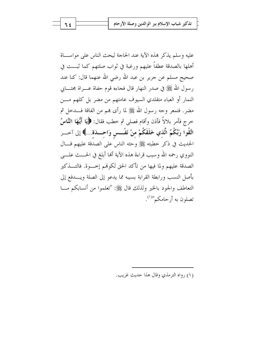عليه وسلم يذكر هذه الآية عند الحاجة ليحث الناس على مواســاة أهلها بالصدقة عطفاً عليهم ورغبة في ثواب صلتهم كما ثبـــت في صحيح مسلم عن جرير بن عبد الله رضي الله عنهما قال: كنا عند رسول الله ﷺ في صدر النهار قال فجاءه قوم حفاة عــــراة مجتــــابي النمار أو العباء متقلدي السيوف عامتهم من مضر بل كلهم مـــن مضرٍ. فتمعر وجه رسول الله ﷺ لما رأى هِم من الفاقة فـــدخل ثم خرج فأمر بلالاً فأذن وأقام فصلى ثم خطب فقال: ﴿يَا أَيُّهَا النَّاسُ اتَّقُوا رَبَّكُمُ الَّذي خَلَقَكُمْ منْ نَفْــس وَاحـــدَة...﴾ إلى آحـــر الحديث في ذكر حطبته ﷺ وحثه الناس على الصدقة عليهم قسال النووي رحمه الله وسبب قراءة هذه الآية ألها أبلغ في الحـــث علــــى الصدقة عليهم ولما فيها من تأكد الحق لكوفمم إحسوة. فالتـــذكير بأصل النسب ورابطة القرابة بسببه مما يدعو إلى الصلة ويسدفع إلى التعاطف والجود بالخير ولذلك قال ﷺ: "تعلموا من أنسابكم مـــا تصلون به أرحامكم"<sup>(۱)</sup>.

(۱), واه الترمذي وقال هذا حديث غريب.

۶ م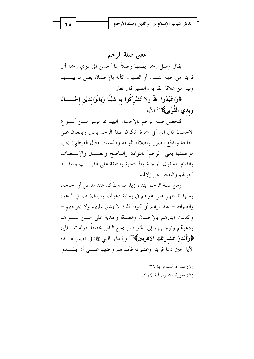معنى صلة الرحم

يقال وصل رحمه يصلها وصلاً إذا أحسن إلى ذوي رحمه أي قرابته من جهة النسب أو الصهر، كأنه بالإحسان يصل ما بينــــهم وبينه من علاقة القرابة والصهر قال تعالى:

﴿وَاعْبُدُوا اللَّهَ وَلا تُشْرِكُوا به شَيْئًا وَبِالْوَالدَيْنِ إحْـــسَانًا وَ**بِذِي الْقُرْبَيِ﴾**(') الآية.

فتحصل صلة الرحم بالإحسان إليهم بما تيسر مـــن أنـــواع الإحسان قال ابن أبي جمرة: تكون صلة الرحم بالمال وبالعون على الحاجة وبدفع الضرر وبطلاقة الوحه وبالدعاء. وقال القرطبي: تجب مواصلتها يعني "الرحم" بالتوادد والنتاصح والعسدل والإنسصاف والقيام بالحقوق الواجبة والمستحبة والنفقة على القريــب وتفقــد أحوالهم والتغافل عن زلاقم.

ومن صلة الرحم ابتداء زيارتهم وتتأكد عند المرض أو الحاجة، ومنها تقديمهم على غيرهم في إجابة دعوتهم والبداءة هم في الدعوة والضيافة – عند قرهم أو كون ذلك لا يشق عليهم ولا يجرحهم – وكذلك إيثارهم بالإحسان والصدقة والهدية على مسن سواهم ودعوهم وتوجيههم إلى الخير قبل جميع الناس تحقيقاً لقوله تعـــالى: ﴿وَأَنْذَرْ عَشْيَرَتَكَ الأَقْرَبِينَ﴾(`` وإقتداء بالنبي ﷺ في تطبيق هــــذه الآية حين دعا قرابته وعشيرته فأنذرهم وحثهم علــبي أن ينقـــذوا

- (١) سورة النساء آية ٣٦.
- (٢) سورة الشعراء آية ٢١٤.

ه ۲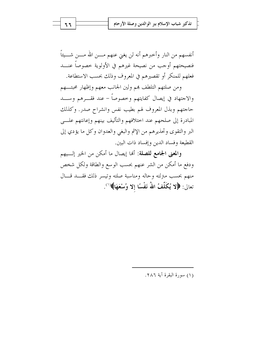أنفسهم من النار وأحبرهم أنه لن يغنى عنهم مــــن الله مـــــن شــــيئاً فنصيحتهم أوجب من نصيحة غيرهم في الأولوية خصوصاً عنـــد فعلهم للمنكر أو تقصيرهم في المعروف وذلك بحسب الاستطاعة.

ومن صلتهم التلطف بمم ولين الجانب معهم وإظهار محبتهم والاجتهاد في إيصال كفايتهم وخصوصاً – عند فقـــرهم وســــد حاجتهم وبذل المعروف لهم بطيب نفس وانشراح صدر. وكذلك المبادرة إلى صلحهم عند اختلافهم والتأليف بينهم وإعانتهم علـــى البر والتقوى وتحذيرهم من الإثم والبغي والعدوان وكل ما يؤدي إلى القطيعة وفساد الدين وإفساد ذات البين.

والمعنى الجامع للصلة: أَهَا إيصال ما أمكن من الخير إلـــيهم ودفع ما أمكن من الشر عنهم بحسب الوسع والطاقة ولكل شخص منهم بحسب مىزلته وحاله ومناسبة صلته وتيسر ذلك فقــد قــال تعالى: ﴿لا يُكَلِّفُ اللَّهُ نَفْسًا إلا وُسْعَهَا﴾ (''.

(١) سورة البقرة آية ٢٨٦.

٦٦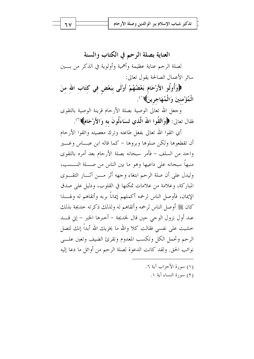٦٧

العناية بصلة الرحم في الكتاب والسنة لصلة الرحم عناية عظيمة وأهمية وأولوية في الذكر من بـــين سائر الأعمال الصالحة يقول تعالى:

﴿وَأُولُو الأَرْحَامِ بَعْضُهُمْ أَوْلَى بِبَعْضٍ في كتَابِ الله منَ الْمُؤْمنينَ وَالْمُهَاجرينَ﴾(١).

وجعل الله تعالى الوصية بصلة الأرحام قرينة الوصية بالتقوى فقال تعالى: ﴿وَاتَّقُوا اللَّهَ الَّذي تَسَاءَلُونَ به وَالأَرْحَامَ﴾(``.

أي اتقوا الله تعالى بفعل طاعته وترك معصيته واتقوا الأرحام أن تقطعوها ولكن صلوها وبروها – كما قاله ابن عبـــاس وغـــير واحد من السلف – فأمر سبحانه بصلة الأرحام بعد أمره بالتقوى منبهاً سبحانه على داعيها وهو ما بين الناس من صــــلة النــــسب، وليدل على أن صلة الرحم ابتغاء وجهه أثر مسن آثسار التقسوي المباركة، وعلامة من علامات تمكنها في القلوب، ودليل على صدق الإيمان، فأوصل الناس لرحمه أكملهم إيماناً بربه وأتقاهم له ولهــــذا كان ﷺ أوصل الناس لرحمه وأتقاهم له ولذلك ذكرته حديجة بذلك عند أول نزول الوحي حين قال لخديجة – أخبرها الخبر – إين قــــد خشيت على نفسي فقالت كلا والله ما يخزيك الله أبداً إنك لتصل الرحم وتحمل الكل وتكسب المعدوم وتقرئ الضيف وتعين علسى نوائب الحق. ولقد كانت الدعوة لصلة الرحم من أوائل ما دعا إليه

- (١) سورة الأحزاب آبة ٦.
	- (٢) سورة النساء آية ١.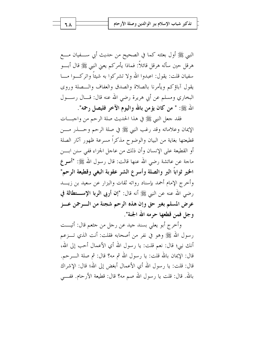النبي ﷺ أول بعثته كما في الصحيح من حديث أبي ســـفيان مــــع هرقل حين سأله هرقل قائلاً: فماذا يأمركم يعني النبي ﷺ قال أبـــو سفيان قلت: يقول: اعبدوا الله ولا تشركوا به شيئاً واتركــوا مـــا يقول آباؤكم ويأمرنا بالصلاة والصدق والعفاف والسصلة وروى البخاري ومسلم عن أبي هريرة رضي الله عنه قال: قـــال رســـول الله ﷺ: " من كان يؤمن بالله واليوم الآخر فليصل رحمه".

فقد جعل النبي ﷺ في هذا الحديث صلة الرحم من واجبـــات الإيمان وعلاماته وقد رغب النبي ﷺ في صلة الرحم وحــــذر مــــن قطيعتها بغاية من البيان والوضوح مذكراً مسرعة ظهور آثار الصلة أو القطيعة على الإنسان وأن ذلك من عاجل الجزاء ففي سنن ابـــن ماجة عن عائشة , ضي الله عنها قالت: قال , سول الله ﷺ: "أسو ع الخير ثواباً البر والصلة وأسرع الشر عقوبة البغي وقطيعة الرحم" وأخرج الإمام أحمد بإسناد رواته ثقات والبزار عن سعيد بن زيـــد رضي الله عنه عن النبي ﷺ أنه قال: "إن أربى الربا الإستطالة في عرض المسلم بغير حق وإن هذه الرحم شجنة من السرحمن عسز وجل فمن قطعها حرمه الله الجنة".

وأخرج أبو يعلي بسند جيد عن رجل من جثعم قال: أتيــت , سول الله ﷺ وهو في نفرٍ من أصحابه فقلت: أنت الذي تبــزعـم أنك نبي؛ قال: نعم قلت: يا رسول الله أي الأعمال أحب إلى الله، قال: الإيمان بالله قلت: يا رسول الله ثم مه؟ قال: ثم صلة الــــرحم. قال: قلت: يا ٫ سول الله أي الأعمال أبغض إلى الله؛ قال: الإشراك بالله . قال: قلت يا رسول الله صم مه؟ قال: قطيعة الأرحام. ففـــي

٦٨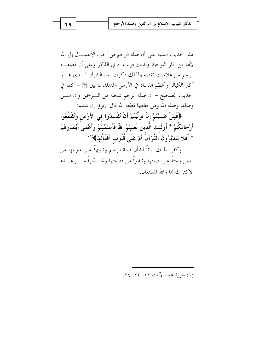تذكير شباب الإسلام ببر الوالدين وصلة الأرحام

هذا الحديث التنبيه على أن صلة الرحم من أحب الأعمــــال إلى الله لألها من آثار التوحيد ولذلك قرنت به في الذكر وعلى أن قطيعـــة الرحم من علامات نقصه ولذلك ذكرت بعد الشرك السذي هسو أكبر الكبائر وأعظم الفساد في الأرض ولذلك لما بين ﷺ – كما في الحديث الصحيح – أن صلة الرحم شجنة من الـــرحمن وأن مــــن وصلها وصله الله ومن قطعها قطعه الله قال: إقرؤا إن شئتم:

﴿فَهَلْ عَسَيْتُمْ إِنْ تَوَلَّيْتُمْ أَنْ تُفْسِدُوا في الأَرْضِ وَتُقَطِّعُوا أَرْحَامَكُمْ \* أُولَئكَ الَّذينَ لَعَنَهُمُ اللَّهُ فَأَصَمَّهُمْ وَأَعْمَى أَبْصَارَهُمْ \* أَفَلا يَتَدَبَّرُونَ الْقُرْآنَ أَمْ عَلَى قُلُوب أَقْفَالُهَا﴾ (').

وكفي بذلك بياناً لشأن صلة الرحم وتنبيهاً على مترلتها من الدين وحثاً على صلتها وتنفيراً من قطيعتها وتحـــذيراً مــــن عـــدم الاكتراث بما والله المستعان.

(١) سورة محمد الآيات ٢٢، ٢٢، ٢٤.

٦٩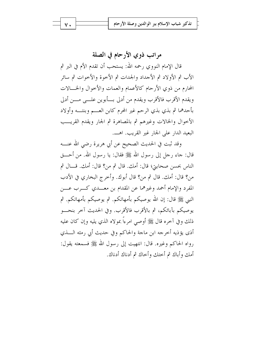مراتب ذوي الأرحام في الصلة

قال الإمام النووي رحمه الله: يستحب أن تقدم الأم في البر ثم الأب ثم الأولاد ثم الأجداد والجدات ثم الأحوة والأحوات ثم سائر المحارم من ذوي الأرحام كالأعمام والعمات والأحوال والخسالات ويقدم الأقرب فالأقرب ويقدم من أدلى بسأبوين علــي مـــن أدلى بأحدهما ثم بذي بذي الرحم غير المحرم كابن العـــم وبنتـــه وأولاد الأخوال والخالات وغيرهم ثم بالمصاهرة ثم الجار ويقدم القريسب البعيد الدار على الجار غير القريب. اهـــ.

وقد ثبت في الحديث الصحيح عن أبي هريرة رضي الله عنــــه قال: جاء رجل إلى رسول الله ﷺ فقال: يا رسول الله. من أحــــق الناس بحسن صحابيٍّ؛ قال: أمك. قال ثم من؟ قال: أمك. قـــال ثم من؟ قال: أمك. قال ثم من؟ قال أبوك. وأخرج البخاري في الأدب المفرد والإمام أحمد وغيرهما عن المقدام بن معـــدي كـــرب عــــن النبي ﷺ قال: إن الله يوصيكم بأمهاتكم. ثم يوصيكم بأمهاتكم. ثم يوصيكم بآبائكم، ثم بالأقرب فالأقرب. وفي الحديث آخر بنحـــو ذلك وفي آخره قال ﷺ أوصى امرءًا بمولاه الذي يليه وإن كان عليه أذى يؤذيه أخرجه ابن ماجة والحاكم وفي حديث أبي رمثه السذي رواه الحاكم وغيره. قال: انتهيت إلى رسول الله ﷺ فسمعته يقول: أمك وأباك ثم أحتك وأحاك ثم أدناك أدناك.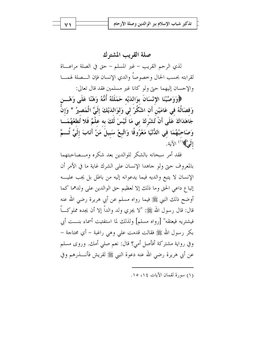صلة القريب المشترك لذي الرحم القريب – غير المسلم – حق في الصلة مراعــاة لقرابته بحسب الحال وحصوصاً والدى الإنسان فإن الــصلة لهمـــا والإحسان إليهما حتى ولو كانا غير مسلمين فقد قال تعالى:

﴿وَوَصَّيْنَا الإِنْسَانَ بِوَالِدَيْهِ حَمَلَتْهُ أُمُّهُ وَهْنًا عَلَى وَهْـــن وَفصَالُهُ في عَامَيْن أَن اشْكُرْ لي وَلوَالدَيْكَ إلَيَّ الْمَصيرُ \* وَإِنْ جَاهَدَاكَ عَلَى أَنْ تُشْرِكَ بي مَا لَيْسَ لَكَ به علْمٌ فَلا تُطعْهُمَـــا وَصَاحِبْهُمَا فِي الدُّنْيَا مَعْرُوفًا وَاتَّبِعْ سَبِيلَ مَنْ أَنَابَ إلَيَّ ثُـــمَّ إِلَى ۗ﴾ ( ' ) الآية.

فقد أمر سبحانه بالشكر للوالدين بعد شكره ومــصاحبتهما بالمعروف حبىٍّ ولو جاهدا الإنسان على الشرك غاية ما في الأمر أن الإنسان لا يتبع والديه فيما يدعوانه إليه من باطل بل يجب عليه إتباع داعي الحق وما ذلك إلا لعظيم حق الوالدين على ولدهما كما أوضح ذلك النبي ﷺ فيما رواه مسلم عن أبي هريرة رضي الله عنه قال: قال رسول الله ﷺ: "لا يجزي ولد والداً إلا أن يجده مملوكـــاً فيشتريه فيعتقه" [رواه مسلم] ولذلك لما استفتيت أسماء بنـــت أبي بكر رسول الله ﷺ فقالت قدمت على وهي راغبة – أي محتاجة – وفي رواية مشتركة أفأصل أمي؟ قال: نعم صلى أمك. وروى مسلم عن أبي هريرة رضي الله عنه دعوة النبي ﷺ لقريش فأنــــذرهم وفي

(١) سورة لقمان الآيات ١٤، ١٥.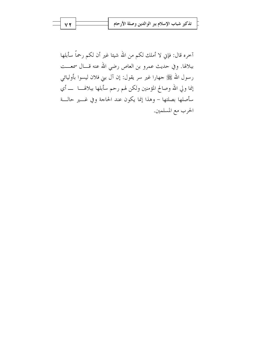| V Y | تذكير شباب الإسلام ببر الوالدين وصلة الأرحام |
|-----|----------------------------------------------|
|     |                                              |

آخره قال: فإني لا أملك لكم من الله شيئا غير أن لكم رحمًا سأبلها ببلالها. وفي حديث عمرو بن العاص رضي الله عنه قـــال سمعـــت رسول الله ﷺ جهارا غير سر يقول: إن آل بني فلان ليسوا بأوليائي إنما ولي الله وصالح المؤمنين ولكن لهم رحم سأبلها ببلالهــــا ــــ أي سأصلها بصلتها – وهذا إنما يكون عند الحاجة وفي غـــير حالـــة الحرب مع المسلمين.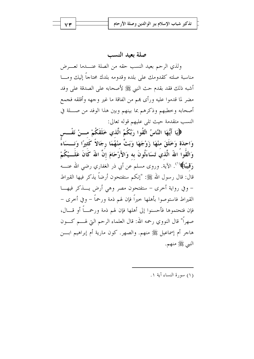#### صلة بعبد النسب

ولذي الرحم بعيد النسب حقه من الصلة عنـــدما تعـــرض مناسبة صلته كقدومك على بلده وقدومه بلدك محتاجاً إليك ومـــا أشبه ذلك فقد بقدم حث النبي ﷺ لأصحابه على الصدقة على وفد مضر لما قدموا عليه ورأى بمم من الفاقة ما غير وجهه وأقلقه فجمع أصحابه وخطبهم وذكرهم بما بينهم وبين هذا الوفد من صــــلة في النسب متقدمة حيث تلى عليهم قوله تعالى:

﴿إِيَا أَيُّهَا النَّاسُ اتَّقُوا رَبَّكُمُ الَّذي خَلَقَكُمْ مـــنْ نَفْــسِ وَاحِدَةٍ وَخَلَقَ مِنْهَا زَوْجَهَا وَبَتَّ مِنْهُمَا رِجَالاً كَثِيرًا وَنِــسَاءً وَاتَّقُوا اللَّهَ الَّذي تَسَاءَلُونَ به وَالأَرْحَامَ إنَّ اللهَ كَانَ عَلَـــيْكُمْ رَقِيبًا﴾''. الآية. وروى مسلم عن أبي ذر الغفاري رضي الله عنـــه قال: قال , سول الله ﷺ: "إنكم ستفتحون أرضاً يذكر فيها القيراط – وفي رواية أحرى – ستفتحون مصر وهي أرض يسذكر فيهسا القيراط فاستوصوا بأهلها حيراً فإن لهم ذمة ورحماً – وفي أخرى – فإن فتحتموها فأحسنوا إلى أهلها فإن لهم ذمة ورحمـــاً أو قــــال، صهراً" قال النووي رحمه الله: قال العلماء الرحم التي لهــــم كــــون هاجر أم إسماعيل ﷺ منهم. والصهر. كون مارية أم إبراهيم ابـــن النبي ﷺ منهم.

(١) سورة النساء آية ١.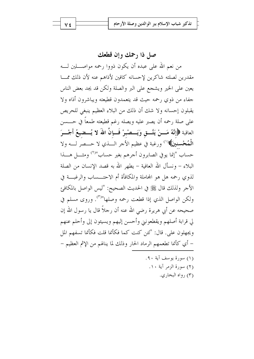صل ذا رحمك وإن قطعك

من نعم الله على عبده أن يكون ذووا رحمه مواصــــلين لــــه مقدرين لصلته شاكرين لإحسانه كافين لأذاهم عنه لأن ذلك ممسا يعين على الخير ويشجع على البر والصلة ولكن قد يجد بعض الناس جفاء من ذوي رحمه حيث قد يتعمدون قطيعته ويباشرون أذاه ولا يقبلون إحسانه ولا شك أن ذلك من البلاء العظيم ينبغي للحريص على صلة رحمه أن يصبر عليه ويصله رغم قطيعته طمعاً في حــــسن العاقبة ﴿إِنَّهُ مَـــنْ يَتَّـــق وَيَـــصْبـرْ فَـــإنَّ اللهَ لا يُـــضيعُ أَجْـــرَ الْمُخْسنينَ﴾(`` ورغبة في عظيم الأجر الـــذي لا حـــصر لــــه ولا حساب "إنما يوفي الصابرون أجرهم بغير حساب"<sup>(٢)</sup> ومثــــل هــــذا البلاء – ونسأل الله العافية – يطهر الله به قصد الإنسان من الصلة لذوى رحمه هل هو المجاملة والمكافأة أم الاحتـــساب والرغبـــة في الأحر ولذلك قال ﷺ في الحديث الصحيح: "ليس الواصل بالمكافئ ولكن الواصل الذي إذا قطعت رحمه وصلها"<sup>(٣)</sup>. وروى مسلم في صحيحه عن أبي هريرة رضي الله عنه أن رحلاً قال يا رسول الله إن لى قرابة أصلهم ويقطعونني وأحسن إليهم ويسيئون إلى وأحلم عنهم ويجهلون على. قال: "لئن كنت كما فكأنما قلت فكأنما تسفهم المل – أي كأنما تطعمهم الرماد الحار وذلك لما ينالهم من الإثم العظيم –

> (١) سورة يوسف آية ٩٠. (٢) سورة الزمر آية ١٠. (۳) رواه البخاري.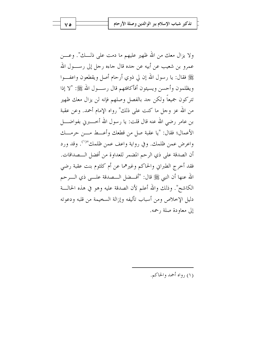ولا يزال معك من الله ظهير عليهم ما دمت علي ذلـــك". وعــــن عمرو بن شعيب عن أبيه عن جده قال جاءه رجل إلى رســـول الله ﷺ فقال: يا رسول الله إن لي ذوي أرحام أصل ويقطعون واعفـــوا ويظلمون وأحسن ويسيئون أفأكافئهم قال رســـول الله ﷺ: "لا إذا تتركون جميعاً ولكن جد بالفصل وصلهم فإنه لن يزال معك ظهير من الله عز وجل ما كنت على ذلك" رواه الإمام أحمد. وعن عقبة بن عامرٍ رضي الله عنه قال قلت: يا رسول الله أخـــــــبرين بفواضــــــل الأعمال؛ فقال: "يا عقبة صل من قطعك وأعــط مـــن حرمـــك واعرض عمن ظلمك. وفي رواية واعف عمن ظلمك"<sup>(١)</sup>. وقد ورد أن الصدقة على ذي الرحم المضمر للعداوة من أفضل الـــصداقات. فقد أخرج الطبراني والحاكم وغيرهما عن أم كلثوم بنت عقبة رضى الله عنها أن النبي ﷺ قال: "أف ضل الـــصدقة علـــي ذي الــــرحم الكاشح". وذلك والله أعلم لأن الصدقة عليه وهو في هذه الحالـــة دليل الإخلاص ومن أسباب تأليفه وإزالة السخيمة من قلبه ودعوته إلى معاودة صلة رحمه.

(١) رواه أحمد والحاكم.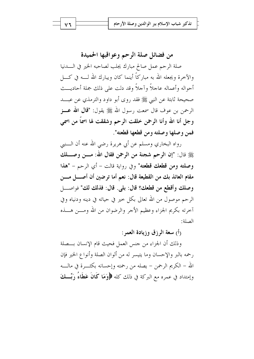من فضائل صلة الرحم وعواقبها الحميدة

صلة الرحم عمل صالح مبارك يجلب لصاحبه الخير في السدنيا والآخرة ويجعله الله به مباركاً أينما كان ويبارك الله لـــه في كــــل أحواله وأعماله عاجلاً وآحلاً وقد دلت على ذلك جملة أحاديـــث صحيحة ثابتة عن النبي ﷺ فقد روى أبو داود والترمذي عن عبـــد الرحمن بن عوف قال سمعت <sub>ر</sub>سول الله ﷺ يقول: **"قال الله عـــز** وجل أنا الله وأنا الرحمن خلقت الرحم وشققت لها اسماً من اسمي فمن وصلها وصلته ومن قطعها قطعته".

رواه البخاري ومسلم عن أبي هريرة رضي الله عنه أن الــــنبي ﷺ قال: "إن الرحم شجنة من الرحمن فقال الله: مــــن وصـــــلك وصلته ومن قطعك قطعته" وفي رواية قالت – أي الرحم – "هذا مقام العائذ بك من القطيعة قال: نعم أما ترضين أن أصــــل مــــن وصلك وأقطع من قطعك؟ قال: بلي. قال: فذلك لك" فواصـــل الرحم موصول من الله تعالى بكلِّ حيرٍ في حياته في دينه ودنياه وفي آخرته بكريم الجزاء وعظيم الأجر والرضوان من الله ومــــن هــــذه الصلة:

(أ) سعة الرزق وزيادة العمر:

وذلك أن الجزاء من جنس العمل فحيث قام الإنسان بـــصلة رحمه بالبر والإحسان وما يتيسر له من ألوان الصلة وأنواع الخير فإن الله – الكريم الرحمن – يصله من رحمته وإحسانه بكثــــرة في مالــــه وإمتداد في عمره مع البركة في ذلك كله ﴿وَمَا كَانَ عَطَاءُ رَبِّـــكَ

۷٦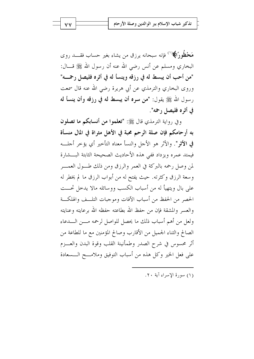**مَحْظُورًا﴾**('') فإنه سبحانه يرزق من يشاء بغير حساب فقــــد روى البخاري ومسلم عن أنس رضي الله عنه أن رسول الله ﷺ قـــال: "من أحب أن يبسط له في رزقه وينسأ له في أثره فليصل رحمــه" وروى البخاري والترمذي عن أبي هريرة رضي الله عنه قال سمعت رسول الله ﷺ يقول: "من سره أن يبسط له في رزقه وأن ينسأ له في أثره فليصل رحمه".

وفي رواية الترمذي قال ﷺ: "تعلموا من أنسابكم ما تصلون به أر حامكم فإن صلة الرحم محبة في الأهل مثراة في المال منسأة في الأثو". والأثر هو الأحل والنسأ معناه التأخير أي يؤخر أجلسه فيمتد عمره ويزداد ففي هذه الأحاديث الصحيحة الثابتة البسشارة لمن وصل رحمه بالبركة في العمر والرزق ومن ذلك طــول العمـــر وسعة الرزق وكثرته. حيث يفتح له من أبواب الرزق ما لم يخطر له على بال ويتهيأ له من أسباب الكسب ووسائله مالا يدحل تحــت الحصر من الحفظ من أسباب الآفات وموجبات التلــف والهلكــة والعسر والمشقة فإن من حفظ الله بطاعته حفظه الله برعايته وعنايته ولعل من أهم أسباب ذلك ما يحصل للواصل لرحمه مـــن الــــدعاء الصالح والثناء الجميل من الأقارب وصالح المؤمنين مع ما للطاعة من أثر محسوس في شرح الصدر وطمأنينة القلب وقوة البدن والعسزم على فعل الخير وكل هذه من أسباب التوفيق وملامـــح الـــسعادة

(١) سورة الأسراء آية ٢٠.

**VV**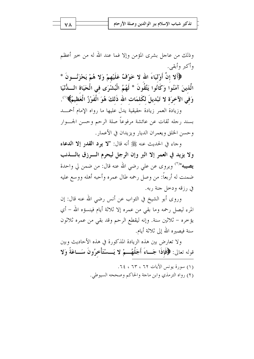وذلك من عاجل بشرى المؤمن وإلا فما عند الله له من حير أعظم وأكبر وأبقى.

﴿أَلا إِنَّ أَوْلَيَاءَ الله لا خَوْفٌ عَلَيْهِمْ وَلا هُمْ يَحْزَنُـــونَ \* الَّذينَ آمَنُوا وَكَانُوا يَتَّقُونَ \* لَهُمُ الْبُشْرَى في الْحَيَاة اللَّدُّنْيَا وَفِي الآخرَة لا تَبْديلَ لكَلمَات الله ذَلكَ هُوَ الْفَوْزُ الْعَظِيمُ﴾'``.

وزيادة العمر زيادة حقيقية يدل عليها ما رواه الإمام أحمسد بسند رجله ثقات عن عائشة مرفوعاً صلة الرحم وحسن الجب وار وحسن الخلق ويعمران الديار ويزيدان في الأعمار .

وجاء في الحديث عنه ﷺ أنه قال: "لا يود القدر إلا الدعاء ولا يزيد في العمر إلا البر وإن الرجل ليحرم السرزق بالسذنب **يصيبه"**(<sup>٢)</sup> ويروى عن على رضي الله عنه قال: من ضمن لي واحدة ضمنت له أربعاً: من وصل رحمه طال عمره وأحبه أهله ووسع عليه في رزقه ودخل جنة ربه.

وروى أبو الشيخ في الثواب عن أنس رضي الله عنه قال: إن المرء ليصل رحمه وما بقى من عمره إلا ثلاثة أيام فينسؤه الله – أي يؤخره – ثلاثين سنة. وإنه ليقطع الرحم وقد بقى من عمره ثلاثون سنة فيصيره الله إلى ثلاثة أيام.

ولا تعارض بين هذه الزيادة المذكورة في هذه الأحاديث وبين قوله تعالى: ﴿فَإِذَا جَــاءَ أَجَلُهُـــمْ لا يَـــسْتَأْخِرُونَ سَــاعَةً وَلا

> (١) سورة يونس الآيات ٦٢ ، ٦٢ ، ٤٤. (٢) رواه الترمذي وابن ماجة والحاكم وصححه السيوطي.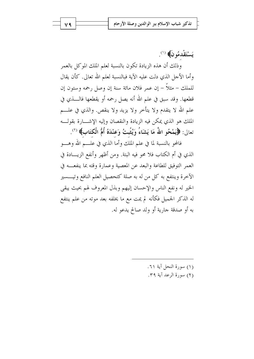يَسْتَقْدِمُو نَ﴾ (').

وذلك أن هذه الزيادة تكون بالنسبة لعلم الملك الموكل بالعمر وأما الأحل الذي دلت عليه الآية فبالنسبة لعلم الله تعالى. كأن يقال للملك – مثلاً – إن عمر فلان مائة سنة إن وصل رحمه وستون إن قطعها. وقد سبق في علم الله أنه يصل رحمه أو يقطعها فالــــذي في علم الله لا يتقدم ولا يتأخر ولا يزيد ولا ينقص. والذي في علـــم الملك هو الذي يمكن فيه الزيادة والنقصان وإليه الإشـــارة بقولـــه تعالى: ﴿يَمْحُو اللَّهُ مَا يَشَاءُ وَيُثْبِتُ وَعَنْدَهُ أُمُّ الْكَتَابِ﴾ (\*).

فالمحو بالنسبة لما في علم الملك وأما الذي في علـــم الله وهــــو الذي في أم الكتاب فلا محو فيه البتة. ومن أظهر وأنفع الزيـــادة في العمر التوفيق للطاعة والبعد عن المعصية وعمارة وقته بما ينفعسه في الآخرة وينتفع به كل من له به صلة كتحصيل العلم النافع وتيـــسير الخير له ونفع الناس والإحسان إليهم وبذل المعروف لهم بحيث يبقى له الذكر الجميل فكأنه لم يمت مع ما يخلفه بعد موته من علم ينتفع به أو صدقة جارية أو ولد صالح يدعو له.

> (١) سورة النحل آية ٦١. (٢) سورة الرعد آية ٣٩.

V ٩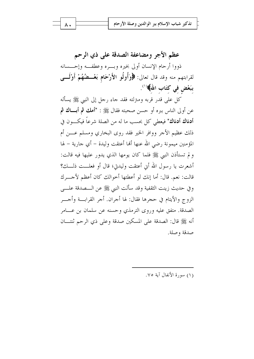عظم الأجر ومضاعفة الصدقة على ذي الرحم ذووا أرحام الإنسان أولى بخيره وبسره وعطفــه وإحـــسانه لقرابتهم منه وقد قال تعالى: ﴿وَأُولُو الأَرْحَامِ بَعْــضُهُمْ أَوْلَـــى ببَعْض في كتَاب اللهُ﴾(').

كل على قدر قربه ومتزلته فقد جاء رحل إلى النبي ﷺ يسأله عن أولى الناس ببره أو حسن صحبته فقال ﷺ : "أهك ثم أبساك ثم **أدناك أدناك" فيع**طى كل بحسب ما له من الصلة شرعاً فيكــــون في ذلك عظيم الأجر ووافر الخير فقد روى البخاري ومسلم عـــن أم المؤمنين ميمونة رضي الله عنها ألها أعتقت وليدة – أي جارية – لها و لم تستأذن النبي ﷺ فلما كان يومها الذي يدور عليها فيه قالت: أشعرت يا رسول الله أي أعتقت وليدتي؛ قال أو فعلـــت ذلـــك؟ قالت: نعم. قال: أما إنك لو أعطتها أخوالك كان أعظم لأجــــرك وفي حديث زينت الثقفية وقد سألت النبي ﷺ عن الـــصدقة علــــي الزوج والأيتام في حجرها فقال: لها أجران. أجر القرابـــة وأجــــر الصدقة. متفق عليه وروى الترمذي وحسنه عن سلمان بن عـــامر أنه ﷺ قال: الصدقة على المسكين صدقة وعلى ذي الرحم ثنتـــان صدقة وصلة.

(١) سورة الأنفال آية ٧٥.

۸.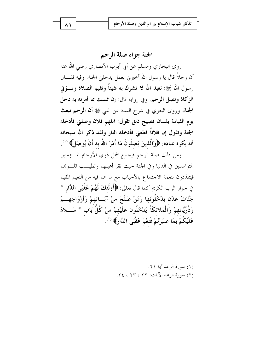الجنة جزاء صلة الرحم

روى البخاري ومسلم عن أبي أيوب الأنصاري رضي الله عنه أن , حلاً قال يا رسول الله أخبرنى بعمل يدخلنى الجنة. وفيه فقـــال رسول الله ﷺ: تعبد الله لا تشرك به شيئاً وتقيم الصلاة وتسؤتي الزكاة وتصل الرحم. وفي رواية قال: إن تمسك بما أمرته به دخل الجنة، وروى البغوي في شرح السنة عن النبي ﷺ أن الرحم تبعث يوم القيامة بلسان فصيح ذلق تقول: اللهم فلان وصلني فأدخله الجنة وتقول إن فلاناً قطعني فأدخله النار ولقد ذكر الله سبحانه أنه يكره عباده: ﴿وَالَّذِينَ يَصِلُونَ مَا أَمَرَ اللَّهُ به أَنْ يُوصَالَ» (').

ومن ذلك صلة الرحم فيجمع شمل ذوي الأرحام المسؤمنين المتواصلين في الدنيا وفي الجنة حيث تقر أعينهم وتطيــب قلــوبمم فيتلذذون بنعمة الاجتماع بالأحباب مع ما هم فيه من النعيم المقيم في حوار الرب الكريم كما قال تعالى: ﴿أُولَٰئِكَ لَهُمْ عُقْبَى اللَّارِ \* جَنَّاتُ عَدْنٍ يَدْخُلُونَهَا وَمَنْ صَلَحَ منْ آبَــائهِمْ وَأَزْوَاجِهِـــمْ وَذُرِّيَّاتهمْ وَالْمَلائكَةُ يَدْخُلُونَ عَلَيْهِمْ منْ كُلِّ بَابٍ \* سَــَـلامٌ عَلَيْكُمْ بِمَا صَبَرْتُمْ فَنِعْمَ عُقْبَى اللَّارِ﴾ (").

(١) سورة الرعد آبة ٢١.

(٢) سورة الرعد الآيات: ٢٢ ، ٢٢ ، ٢٤.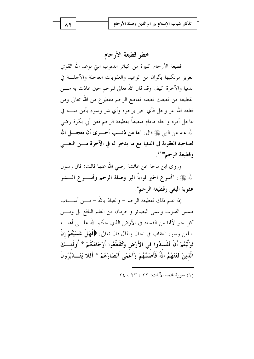## خطر قطيعة الأرحام

قطيعة الأرحام كبيرة من كبائر الذنوب التي توعد الله القوي العزيز مرتكبها بألوان من الوعيد والعقوبات العاجلة والآجلة في الدنيا والآخرة كيف وقد قال الله تعالى للرحم حين عاذت به مــــن القطيعة من قطعك قطعته فقاطع الرحم مقطوع من الله تعالى ومن قطعه الله عز وجل فأي حير يرجوه وأي شر وسوء يأمن منــــه في عاجل أمره وآجله مادام متصفاً بقطيعة الرحم فعن أبى بكرة رضى الله عنه عن النبي ﷺ قال: **"ما من ذنـــب أحـــــرى أن يعجـــــ**ل الله لصاحبه العقوبة في الدنيا مع ما يدخر له في الآخرة مسن البغسي وقطيعة الرحم"``.

وروى ابن ماجة عن عائشة رضي الله عنها قالت: قال رسول الله ﷺ : "أسرع الخير ثواباً البر وصلة الرحم وأســــرع الــــشر عقوبة البغي وقطيعة الرحم".

إذا علم ذلك فقطيعة الرحم – والعياذ بالله – مــــن أســــباب طمس القلوب وعمى البصائر والحرمان من العلم النافع بل ومسن كل خير لألها من الفساد في الأرض الذي حكم الله علـــي أهلــــه باللعن وسوء العقاب في الحال والمآل قال تعالى: ﴿فَهَا ۚ عَسَيْتُمْ إِنْ تَوَلَّيْتُمْ أَنْ تُفْسدُوا في الأَرْضِ وَتُقَطِّعُوا أَرْحَامَكُمْ \* أُولَئـــكَ الَّذِينَ لَعَنَهُمُ اللَّهُ فَأَصَمَّهُمْ وَأَعْمَى أَبْصَارَهُمْ \* أَفَلا يَتَـــا َبَّرُونَ

(١) سورة محمد الآيات: ٢٢ ، ٢٣ ، ٢٤.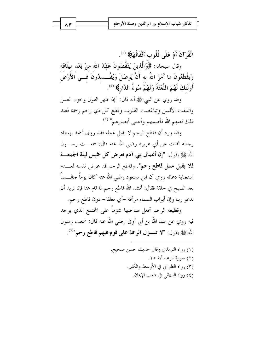الْقُرْ آنَ أَمْ عَلَى قُلُوبٍ أَقْفَالُهَا﴾ (`'.

وقال سبحانه: ﴿وَالَّذِينَ يَنْقُضُونَ عَهْدَ الله منْ بَعْد ميثَاقه وَيَقْطَعُونَ مَا أَمَرَ اللهُ به أَنْ يُوصَلَ وَيُفْــسدُونَ فـــي الأَرْض أُولَئِكَ لَهُمُ اللَّعْنَةُ وَلَهُمْ سُوءُ الدَّارِ﴾ (``.

وقد روي عن النبي ﷺ أنه قال: "إذا ظهر القول وخزن العمل وائتلفت الألسن وتباغضت القلوب وقطع كل ذي رحم رحمه فعند ذلك لعنهم الله فأصمهم وأعمى أبصارهم" (٣).

وقد ورد أن قاطع الرحم لا يقبل عمله فقد روى أحمد بإسناد رجاله ثقات عن أبي هريرة رضي الله عنه قال: سمعـــت رســـول الله ﷺ يقول: "إن أعمال بني آدم تعرض كل خميس ليلة الجمعــــة فلا يقبل عمل قاطع رحم". وقاطع الرحم قد عرض نفسه لعـــدم استجابة دعائه روي أن ابن مسعود رضي الله عنه كان يوماً جالــــساً بعد الصبح في حلقة فقال: أنشد الله قاطع رحم لما قام عنا فإنا نريد أن ندعو ربنا وإن أبواب السماء مرتجة –أي مغلقة– دون قاطع رحم.

وقطيعة الرحم تجعل صاحبها شؤماً على المحتمع الذي يوحد فيه روي عن عبد الله بن أبي أوفي رضي الله عنه قال: سمعت رسول الله ﷺ يقول: "لا تنــــزل الرحمة على قوم فيهم قاطع رحم"<sup>(٤)</sup>.

۸۳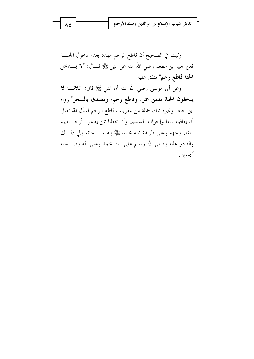وثبت في الصحيح أن قاطع الرحم مهدد بعدم دحول الجنسة فعن جبير بن مطعم رضي الله عنه عن النبي ﷺ قـــال: "لا يـــــدخل ا**لجنة قاطع رحم"** متفق عليه.

وعن أبي موسى رضى الله عنه أن النبي ﷺ قال: "ثلاثــــة لا يدخلون الجنة مدمن خمر، وقاطع رحم، ومصدق بالسحر" رواه ابن حبان وغيره تلك جملة من عقوبات قاطع الرحم أسأل الله تعالى أن يعافينا منها وإخواننا المسلمين وأن يجعلنا ممن يصلون أرحـــامهم ابتغاء وجهه وعلى طريقة نبيه محمد ﷺ إنه ســبحانه ولى ذلـــك والقادر عليه وصلى الله وسلم على نبينا محمد وعلى آله وصـــحبه أجمعين.

Λ ٤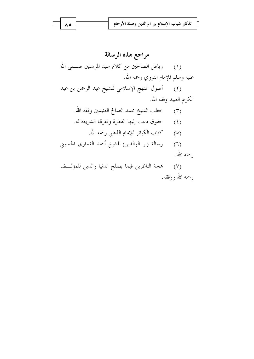مراجع هذه الرسالة (١) رياض الصالحين من كلام سيد المرسلين صــــلمي الله عليه وسلم للإمام النووي رحمه الله. (٢) أصول المنهج الإسلامي للشيخ عبد الرحمن بن عبد الكريم العبيد وفقه الله. (٣) خطب الشيخ محمد الصالح العثيمين وفقه الله. (٤) حقوق دعت إليها الفطرة وققرقما الشريعة له. (٥) كتاب الكبائر للإمام الذهبي رحمه الله. (٦) رسالة (بر الوالدين) للشيخ أحمد الغماري الحسيني رحمه الله. بمجة الناظرين فيما يصلح الدنيا والدين للمؤلف  $(\vee)$ 

رحمه الله ووفقه.

ه ۸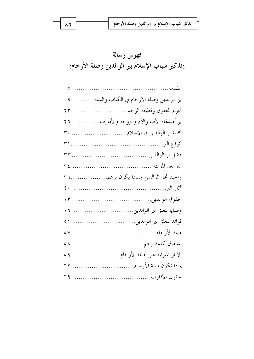$$
\equiv \boxed{\mathbf{1.1}}
$$

| بر الوالدين وصلة الأرحام في الكتاب والسنة٩ |  |
|--------------------------------------------|--|
| تحريم العقوق وقطيعة الرحم ٢٣               |  |
| بر أصدقاء الأب والأم والزوحة والأقارب ٢٦   |  |
| أهمية بر الوالدين في الإسلام ٣٠            |  |
|                                            |  |
|                                            |  |
|                                            |  |
| واحبنا نحو الوالدين وبماذا يكون برهم٣٦     |  |
|                                            |  |
|                                            |  |
|                                            |  |
|                                            |  |
| $\circ \vee$                               |  |
|                                            |  |
| الآثار المترتبة على صلة الأرحام<br>09      |  |
| بماذا تكون صلة الأرحام<br>٦٢               |  |
| ٦٩                                         |  |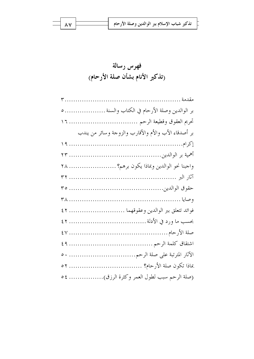| تذكير شباب الإسلام ببر الوالدين وصلة الأرحام ل $\overrightarrow{a}$ |
|---------------------------------------------------------------------|
|                                                                     |

 $\wedge$  Y

| بر الوالدين وصلة الأرحام في الكتاب والسنة  ٥        |  |
|-----------------------------------------------------|--|
| تحريم العقوق وقطيعة الرحم  ١٦                       |  |
| بر أصدقاء الأب والأم والأقارب والزوجة وسائر من يندب |  |
|                                                     |  |
|                                                     |  |
| واحبنا نحو الوالدين وبماذا يكون برهم؟  ٢٨           |  |
|                                                     |  |
|                                                     |  |
|                                                     |  |
| فوائد تتعلق ببر الوالدين وعقوقهما  ٤٢               |  |
|                                                     |  |
|                                                     |  |
|                                                     |  |
|                                                     |  |
|                                                     |  |
| (صلة الرحم سبب لطول العمر وكثرة الرزق) ٥٤           |  |